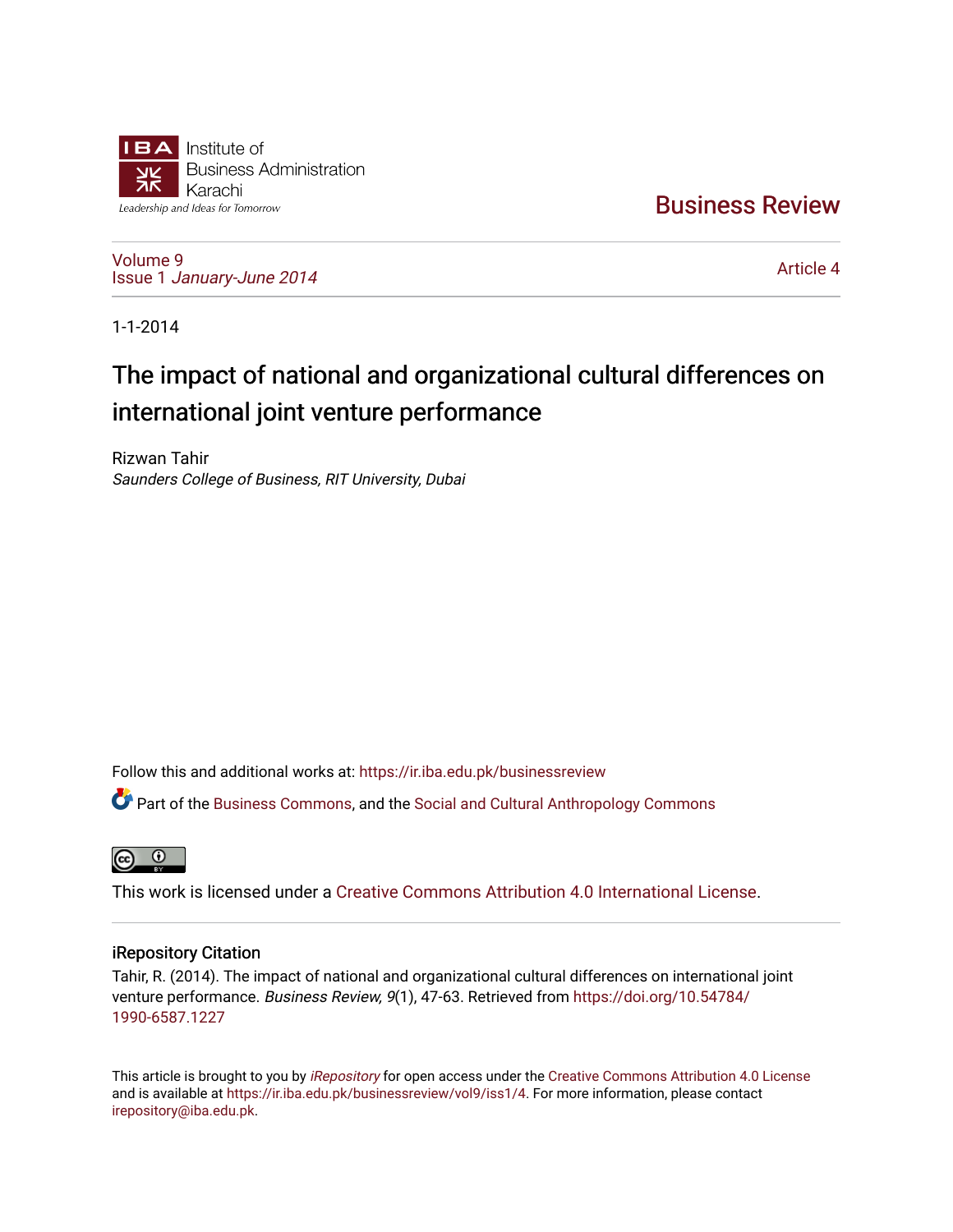

[Business Review](https://ir.iba.edu.pk/businessreview) 

[Volume 9](https://ir.iba.edu.pk/businessreview/vol9) Issue 1 [January-June 2014](https://ir.iba.edu.pk/businessreview/vol9/iss1) 

[Article 4](https://ir.iba.edu.pk/businessreview/vol9/iss1/4) 

1-1-2014

# The impact of national and organizational cultural differences on international joint venture performance

Rizwan Tahir Saunders College of Business, RIT University, Dubai

Follow this and additional works at: [https://ir.iba.edu.pk/businessreview](https://ir.iba.edu.pk/businessreview?utm_source=ir.iba.edu.pk%2Fbusinessreview%2Fvol9%2Fiss1%2F4&utm_medium=PDF&utm_campaign=PDFCoverPages) 

Part of the [Business Commons](http://network.bepress.com/hgg/discipline/622?utm_source=ir.iba.edu.pk%2Fbusinessreview%2Fvol9%2Fiss1%2F4&utm_medium=PDF&utm_campaign=PDFCoverPages), and the [Social and Cultural Anthropology Commons](http://network.bepress.com/hgg/discipline/323?utm_source=ir.iba.edu.pk%2Fbusinessreview%2Fvol9%2Fiss1%2F4&utm_medium=PDF&utm_campaign=PDFCoverPages) 



This work is licensed under a [Creative Commons Attribution 4.0 International License](https://creativecommons.org/licenses/by/4.0/).

# iRepository Citation

Tahir, R. (2014). The impact of national and organizational cultural differences on international joint venture performance. Business Review, 9(1), 47-63. Retrieved from [https://doi.org/10.54784/](https://doi.org/10.54784/1990-6587.1227) [1990-6587.1227](https://doi.org/10.54784/1990-6587.1227) 

This article is brought to you by [iRepository](https://ir.iba.edu.pk/) for open access under the Creative Commons Attribution 4.0 License and is available at [https://ir.iba.edu.pk/businessreview/vol9/iss1/4.](https://ir.iba.edu.pk/businessreview/vol9/iss1/4) For more information, please contact [irepository@iba.edu.pk.](mailto:irepository@iba.edu.pk)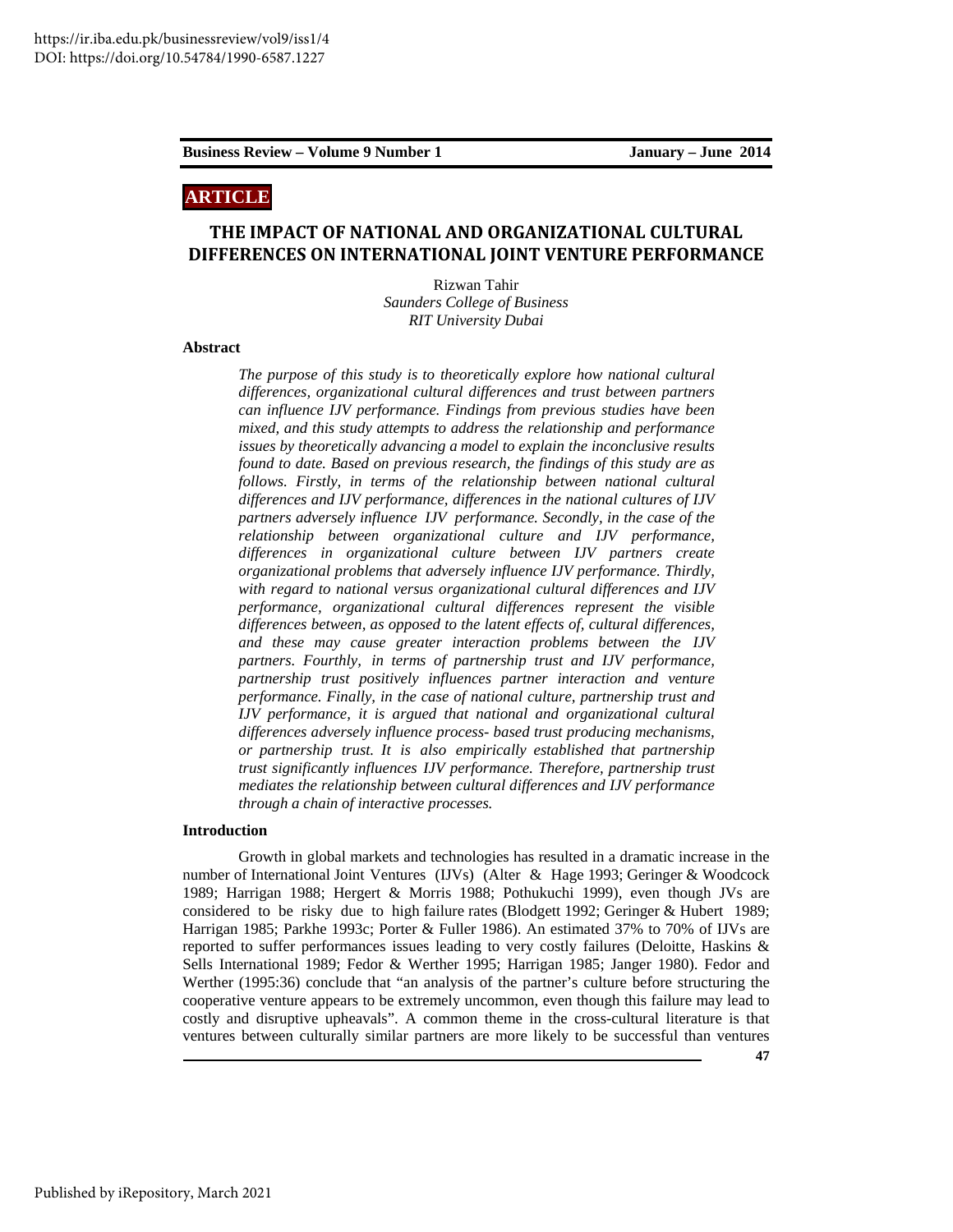# **ARTICLE**

# **THE IMPACT OF NATIONAL AND ORGANIZATIONAL CULTURAL DIFFERENCES ON INTERNATIONAL JOINT VENTURE PERFORMANCE**

Rizwan Tahir *Saunders College of Business RIT University Dubai* 

# **Abstract**

*The purpose of this study is to theoretically explore how national cultural differences, organizational cultural differences and trust between partners can influence IJV performance. Findings from previous studies have been mixed, and this study attempts to address the relationship and performance issues by theoretically advancing a model to explain the inconclusive results found to date. Based on previous research, the findings of this study are as follows. Firstly, in terms of the relationship between national cultural differences and IJV performance, differences in the national cultures of IJV partners adversely influence IJV performance. Secondly, in the case of the relationship between organizational culture and IJV performance, differences in organizational culture between IJV partners create organizational problems that adversely influence IJV performance. Thirdly, with regard to national versus organizational cultural differences and IJV performance, organizational cultural differences represent the visible differences between, as opposed to the latent effects of, cultural differences, and these may cause greater interaction problems between the IJV partners. Fourthly, in terms of partnership trust and IJV performance, partnership trust positively influences partner interaction and venture performance. Finally, in the case of national culture, partnership trust and IJV performance, it is argued that national and organizational cultural differences adversely influence process- based trust producing mechanisms, or partnership trust. It is also empirically established that partnership trust significantly influences IJV performance. Therefore, partnership trust mediates the relationship between cultural differences and IJV performance through a chain of interactive processes.* 

# **Introduction**

Growth in global markets and technologies has resulted in a dramatic increase in the number of International Joint Ventures (IJVs) (Alter & Hage 1993; Geringer & Woodcock 1989; Harrigan 1988; Hergert & Morris 1988; Pothukuchi 1999), even though JVs are considered to be risky due to high failure rates (Blodgett 1992; Geringer & Hubert 1989; Harrigan 1985; Parkhe 1993c; Porter & Fuller 1986). An estimated 37% to 70% of IJVs are reported to suffer performances issues leading to very costly failures (Deloitte, Haskins & Sells International 1989; Fedor & Werther 1995; Harrigan 1985; Janger 1980). Fedor and Werther (1995:36) conclude that "an analysis of the partner's culture before structuring the cooperative venture appears to be extremely uncommon, even though this failure may lead to costly and disruptive upheavals". A common theme in the cross-cultural literature is that ventures between culturally similar partners are more likely to be successful than ventures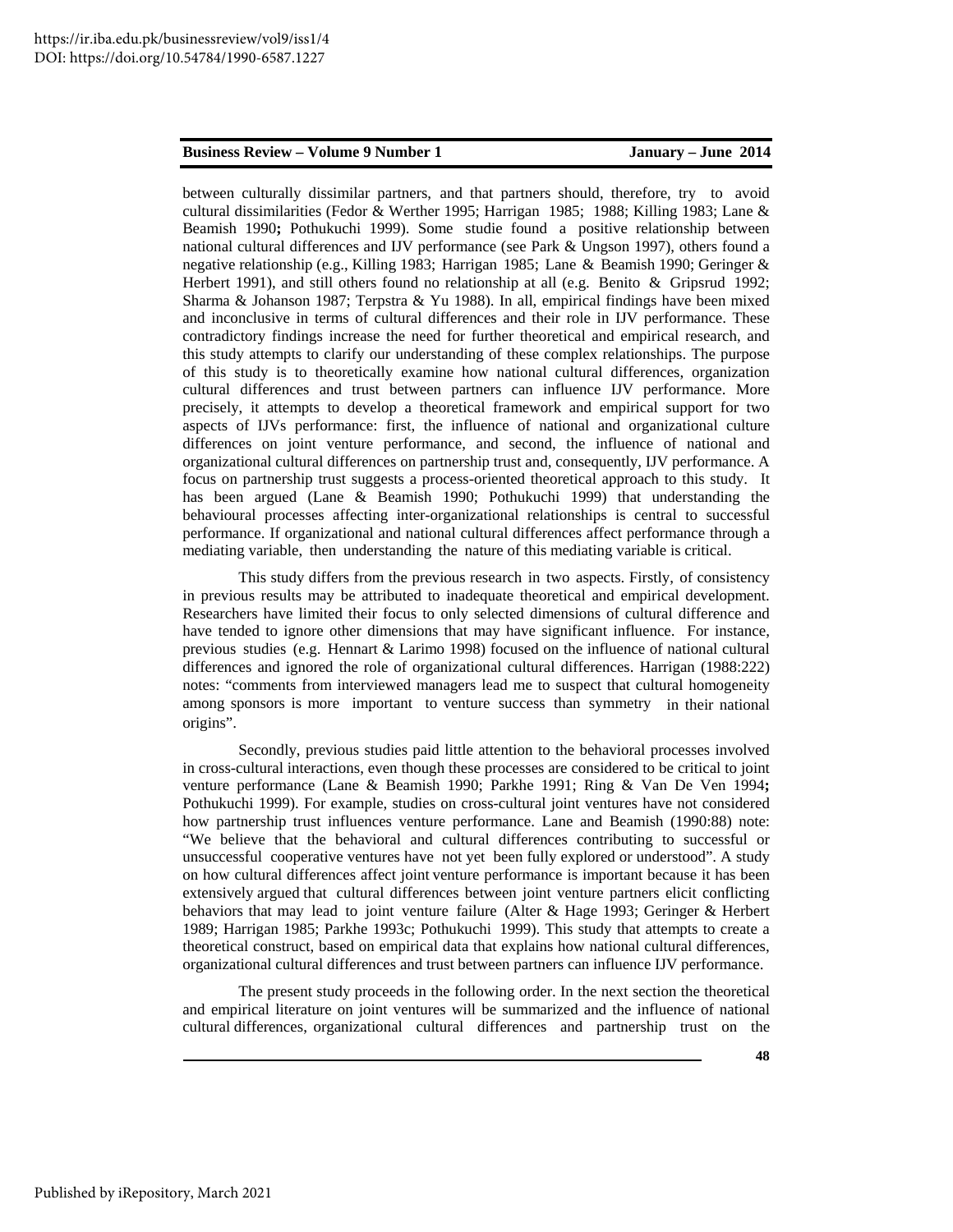between culturally dissimilar partners, and that partners should, therefore, try to avoid cultural dissimilarities (Fedor & Werther 1995; Harrigan 1985; 1988; Killing 1983; Lane & Beamish 1990**;** Pothukuchi 1999). Some studie found a positive relationship between national cultural differences and IJV performance (see Park & Ungson 1997), others found a negative relationship (e.g., Killing 1983; Harrigan 1985; Lane & Beamish 1990; Geringer & Herbert 1991), and still others found no relationship at all (e.g. Benito & Gripsrud 1992; Sharma & Johanson 1987; Terpstra & Yu 1988). In all, empirical findings have been mixed and inconclusive in terms of cultural differences and their role in IJV performance. These contradictory findings increase the need for further theoretical and empirical research, and this study attempts to clarify our understanding of these complex relationships. The purpose of this study is to theoretically examine how national cultural differences, organization cultural differences and trust between partners can influence IJV performance. More precisely, it attempts to develop a theoretical framework and empirical support for two aspects of IJVs performance: first, the influence of national and organizational culture differences on joint venture performance, and second, the influence of national and organizational cultural differences on partnership trust and, consequently, IJV performance. A focus on partnership trust suggests a process-oriented theoretical approach to this study. It has been argued (Lane & Beamish 1990; Pothukuchi 1999) that understanding the behavioural processes affecting inter-organizational relationships is central to successful performance. If organizational and national cultural differences affect performance through a mediating variable, then understanding the nature of this mediating variable is critical.

This study differs from the previous research in two aspects. Firstly, of consistency in previous results may be attributed to inadequate theoretical and empirical development. Researchers have limited their focus to only selected dimensions of cultural difference and have tended to ignore other dimensions that may have significant influence. For instance, previous studies (e.g. Hennart & Larimo 1998) focused on the influence of national cultural differences and ignored the role of organizational cultural differences. Harrigan (1988:222) notes: "comments from interviewed managers lead me to suspect that cultural homogeneity among sponsors is more important to venture success than symmetry in their national origins".

 Secondly, previous studies paid little attention to the behavioral processes involved in cross-cultural interactions, even though these processes are considered to be critical to joint venture performance (Lane & Beamish 1990; Parkhe 1991; Ring & Van De Ven 1994**;**  Pothukuchi 1999). For example, studies on cross-cultural joint ventures have not considered how partnership trust influences venture performance. Lane and Beamish (1990:88) note: "We believe that the behavioral and cultural differences contributing to successful or unsuccessful cooperative ventures have not yet been fully explored or understood". A study on how cultural differences affect joint venture performance is important because it has been extensively argued that cultural differences between joint venture partners elicit conflicting behaviors that may lead to joint venture failure (Alter & Hage 1993; Geringer & Herbert 1989; Harrigan 1985; Parkhe 1993c; Pothukuchi 1999). This study that attempts to create a theoretical construct, based on empirical data that explains how national cultural differences, organizational cultural differences and trust between partners can influence IJV performance.

 The present study proceeds in the following order. In the next section the theoretical and empirical literature on joint ventures will be summarized and the influence of national cultural differences, organizational cultural differences and partnership trust on the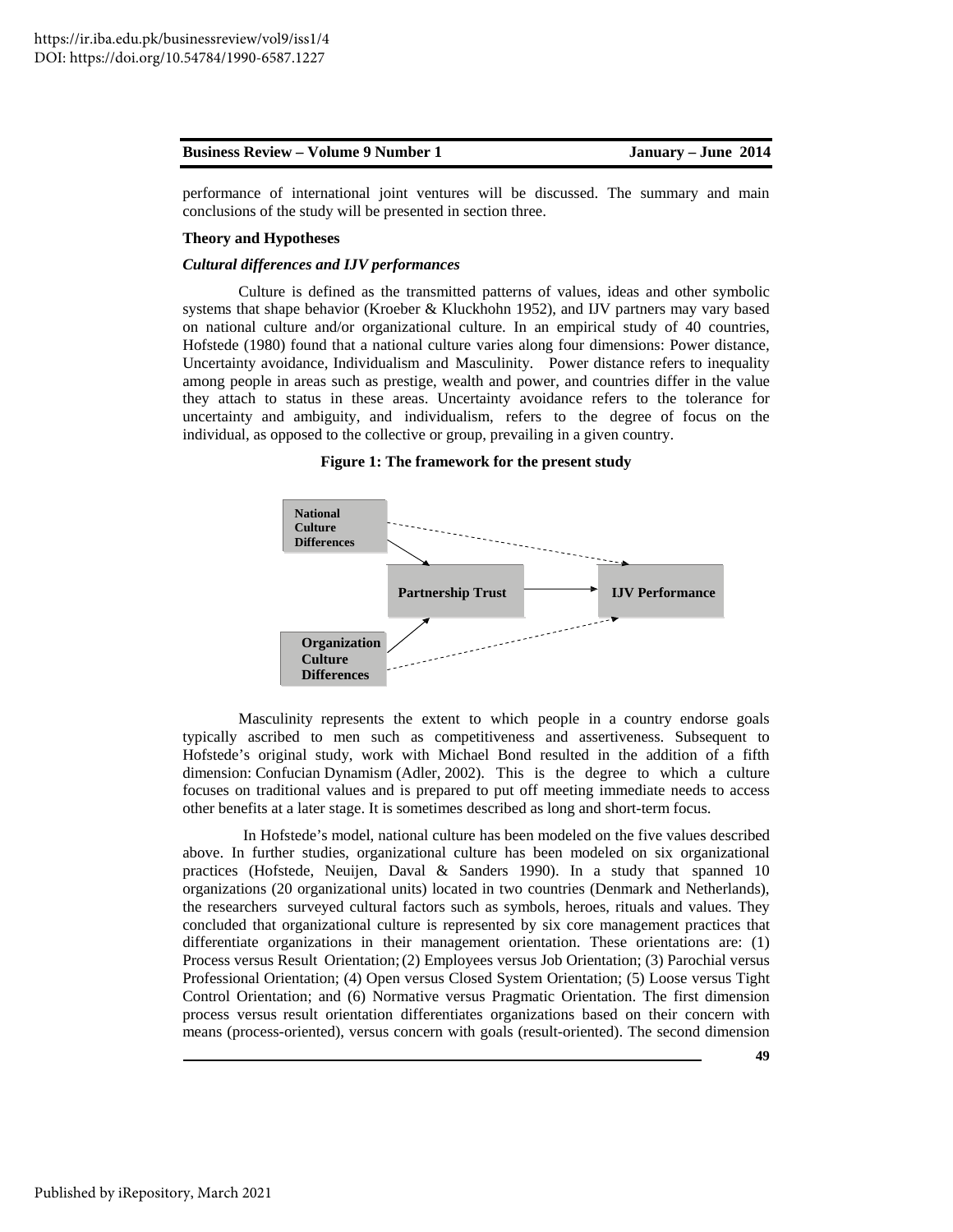performance of international joint ventures will be discussed. The summary and main conclusions of the study will be presented in section three.

# **Theory and Hypotheses**

# *Cultural differences and IJV performances*

 Culture is defined as the transmitted patterns of values, ideas and other symbolic systems that shape behavior (Kroeber & Kluckhohn 1952), and IJV partners may vary based on national culture and/or organizational culture. In an empirical study of 40 countries, Hofstede (1980) found that a national culture varies along four dimensions: Power distance, Uncertainty avoidance, Individualism and Masculinity. Power distance refers to inequality among people in areas such as prestige, wealth and power, and countries differ in the value they attach to status in these areas. Uncertainty avoidance refers to the tolerance for uncertainty and ambiguity, and individualism, refers to the degree of focus on the individual, as opposed to the collective or group, prevailing in a given country.

**Figure 1: The framework for the present study**



 Masculinity represents the extent to which people in a country endorse goals typically ascribed to men such as competitiveness and assertiveness. Subsequent to Hofstede's original study, work with Michael Bond resulted in the addition of a fifth dimension: Confucian Dynamism (Adler, 2002). This is the degree to which a culture focuses on traditional values and is prepared to put off meeting immediate needs to access other benefits at a later stage. It is sometimes described as long and short-term focus.

 In Hofstede's model, national culture has been modeled on the five values described above. In further studies, organizational culture has been modeled on six organizational practices (Hofstede, Neuijen, Daval & Sanders 1990). In a study that spanned 10 organizations (20 organizational units) located in two countries (Denmark and Netherlands), the researchers surveyed cultural factors such as symbols, heroes, rituals and values. They concluded that organizational culture is represented by six core management practices that differentiate organizations in their management orientation. These orientations are: (1) Process versus Result Orientation; (2) Employees versus Job Orientation; (3) Parochial versus Professional Orientation; (4) Open versus Closed System Orientation; (5) Loose versus Tight Control Orientation; and (6) Normative versus Pragmatic Orientation. The first dimension process versus result orientation differentiates organizations based on their concern with means (process-oriented), versus concern with goals (result-oriented). The second dimension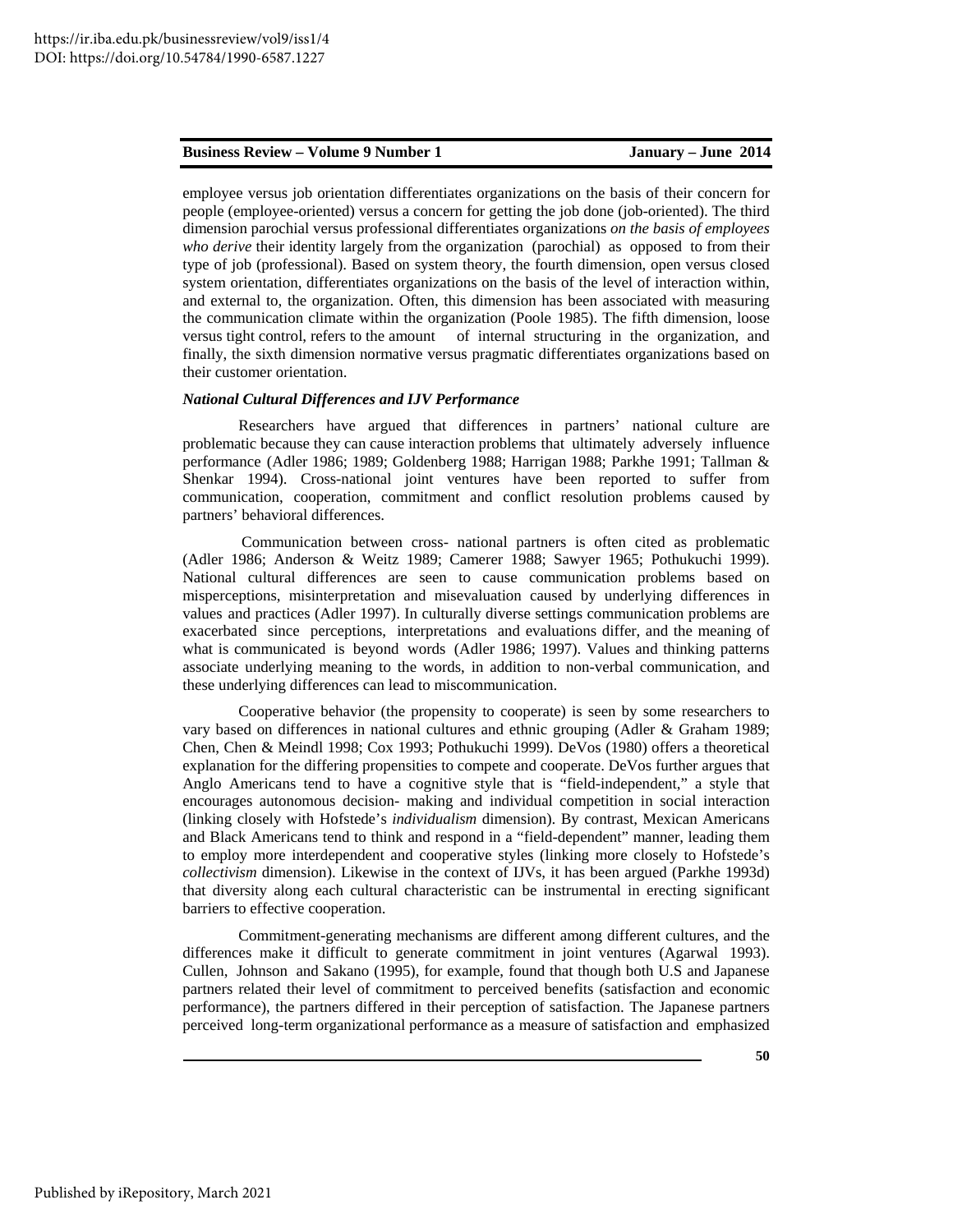employee versus job orientation differentiates organizations on the basis of their concern for people (employee-oriented) versus a concern for getting the job done (job-oriented). The third dimension parochial versus professional differentiates organizations *on the basis of employees who derive* their identity largely from the organization (parochial) as opposed to from their type of job (professional). Based on system theory, the fourth dimension, open versus closed system orientation, differentiates organizations on the basis of the level of interaction within, and external to, the organization. Often, this dimension has been associated with measuring the communication climate within the organization (Poole 1985). The fifth dimension, loose versus tight control, refers to the amount of internal structuring in the organization, and finally, the sixth dimension normative versus pragmatic differentiates organizations based on their customer orientation.

#### *National Cultural Differences and IJV Performance*

 Researchers have argued that differences in partners' national culture are problematic because they can cause interaction problems that ultimately adversely influence performance (Adler 1986; 1989; Goldenberg 1988; Harrigan 1988; Parkhe 1991; Tallman & Shenkar 1994). Cross-national joint ventures have been reported to suffer from communication, cooperation, commitment and conflict resolution problems caused by partners' behavioral differences.

 Communication between cross- national partners is often cited as problematic (Adler 1986; Anderson & Weitz 1989; Camerer 1988; Sawyer 1965; Pothukuchi 1999). National cultural differences are seen to cause communication problems based on misperceptions, misinterpretation and misevaluation caused by underlying differences in values and practices (Adler 1997). In culturally diverse settings communication problems are exacerbated since perceptions, interpretations and evaluations differ, and the meaning of what is communicated is beyond words (Adler 1986; 1997). Values and thinking patterns associate underlying meaning to the words, in addition to non-verbal communication, and these underlying differences can lead to miscommunication.

 Cooperative behavior (the propensity to cooperate) is seen by some researchers to vary based on differences in national cultures and ethnic grouping (Adler & Graham 1989; Chen, Chen & Meindl 1998; Cox 1993; Pothukuchi 1999). DeVos (1980) offers a theoretical explanation for the differing propensities to compete and cooperate. DeVos further argues that Anglo Americans tend to have a cognitive style that is "field-independent," a style that encourages autonomous decision- making and individual competition in social interaction (linking closely with Hofstede's *individualism* dimension). By contrast, Mexican Americans and Black Americans tend to think and respond in a "field-dependent" manner, leading them to employ more interdependent and cooperative styles (linking more closely to Hofstede's *collectivism* dimension). Likewise in the context of IJVs, it has been argued (Parkhe 1993d) that diversity along each cultural characteristic can be instrumental in erecting significant barriers to effective cooperation.

 Commitment-generating mechanisms are different among different cultures, and the differences make it difficult to generate commitment in joint ventures (Agarwal 1993). Cullen, Johnson and Sakano (1995), for example, found that though both U.S and Japanese partners related their level of commitment to perceived benefits (satisfaction and economic performance), the partners differed in their perception of satisfaction. The Japanese partners perceived long-term organizational performance as a measure of satisfaction and emphasized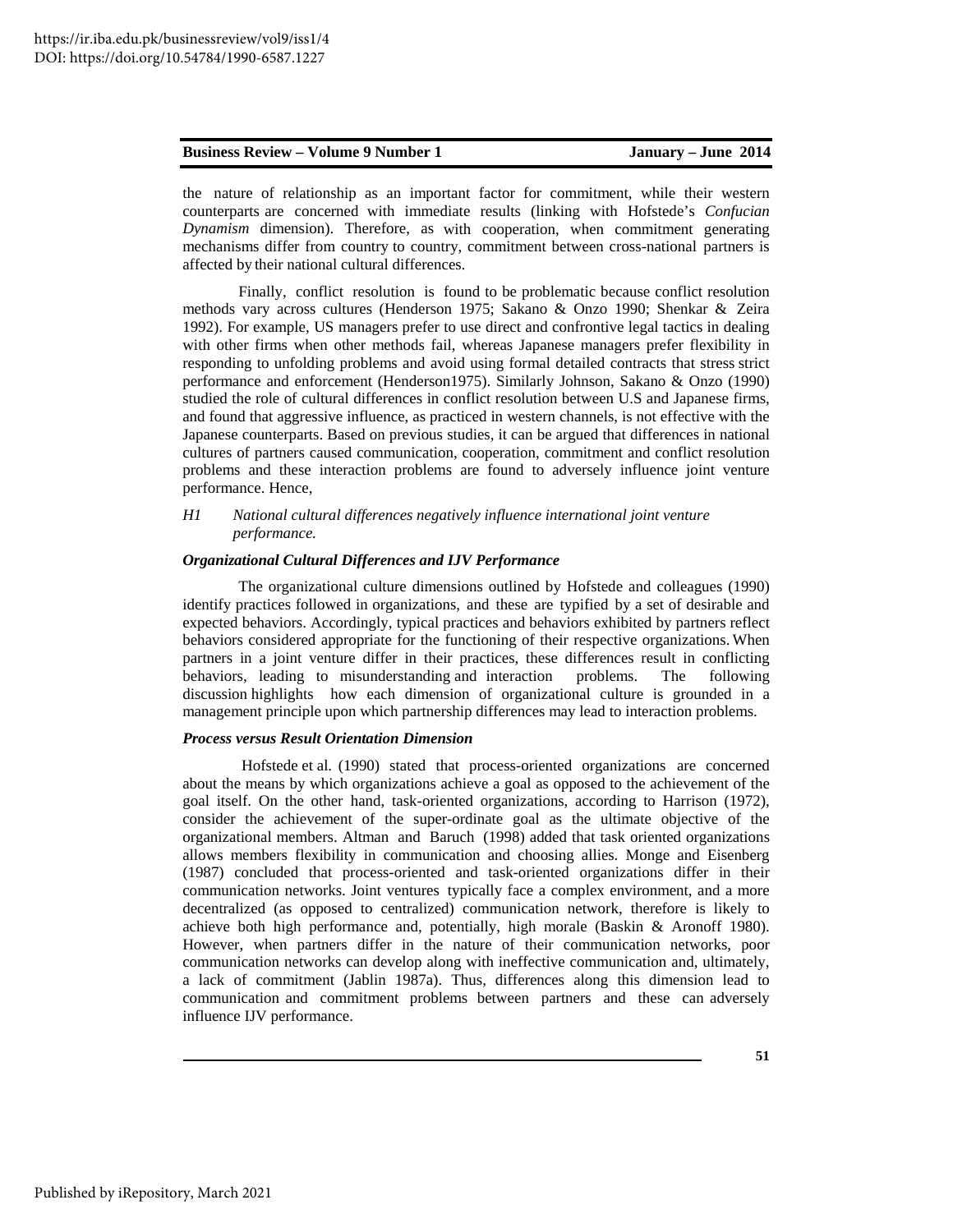|  | <b>Business Review – Volume 9 Number 1</b> | January – June 2014 |  |
|--|--------------------------------------------|---------------------|--|
|--|--------------------------------------------|---------------------|--|

the nature of relationship as an important factor for commitment, while their western counterparts are concerned with immediate results (linking with Hofstede's *Confucian Dynamism* dimension). Therefore, as with cooperation, when commitment generating mechanisms differ from country to country, commitment between cross-national partners is affected by their national cultural differences.

Finally, conflict resolution is found to be problematic because conflict resolution methods vary across cultures (Henderson 1975; Sakano & Onzo 1990; Shenkar & Zeira 1992). For example, US managers prefer to use direct and confrontive legal tactics in dealing with other firms when other methods fail, whereas Japanese managers prefer flexibility in responding to unfolding problems and avoid using formal detailed contracts that stress strict performance and enforcement (Henderson1975). Similarly Johnson, Sakano & Onzo (1990) studied the role of cultural differences in conflict resolution between U.S and Japanese firms, and found that aggressive influence, as practiced in western channels, is not effective with the Japanese counterparts. Based on previous studies, it can be argued that differences in national cultures of partners caused communication, cooperation, commitment and conflict resolution problems and these interaction problems are found to adversely influence joint venture performance. Hence,

# *H1 National cultural differences negatively influence international joint venture performance.*

# *Organizational Cultural Differences and IJV Performance*

The organizational culture dimensions outlined by Hofstede and colleagues (1990) identify practices followed in organizations, and these are typified by a set of desirable and expected behaviors. Accordingly, typical practices and behaviors exhibited by partners reflect behaviors considered appropriate for the functioning of their respective organizations. When partners in a joint venture differ in their practices, these differences result in conflicting behaviors, leading to misunderstanding and interaction problems. The following discussion highlights how each dimension of organizational culture is grounded in a management principle upon which partnership differences may lead to interaction problems.

# *Process versus Result Orientation Dimension*

 Hofstede et al. (1990) stated that process-oriented organizations are concerned about the means by which organizations achieve a goal as opposed to the achievement of the goal itself. On the other hand, task-oriented organizations, according to Harrison (1972), consider the achievement of the super-ordinate goal as the ultimate objective of the organizational members. Altman and Baruch (1998) added that task oriented organizations allows members flexibility in communication and choosing allies. Monge and Eisenberg (1987) concluded that process-oriented and task-oriented organizations differ in their communication networks. Joint ventures typically face a complex environment, and a more decentralized (as opposed to centralized) communication network, therefore is likely to achieve both high performance and, potentially, high morale (Baskin & Aronoff 1980). However, when partners differ in the nature of their communication networks, poor communication networks can develop along with ineffective communication and, ultimately, a lack of commitment (Jablin 1987a). Thus, differences along this dimension lead to communication and commitment problems between partners and these can adversely influence IJV performance.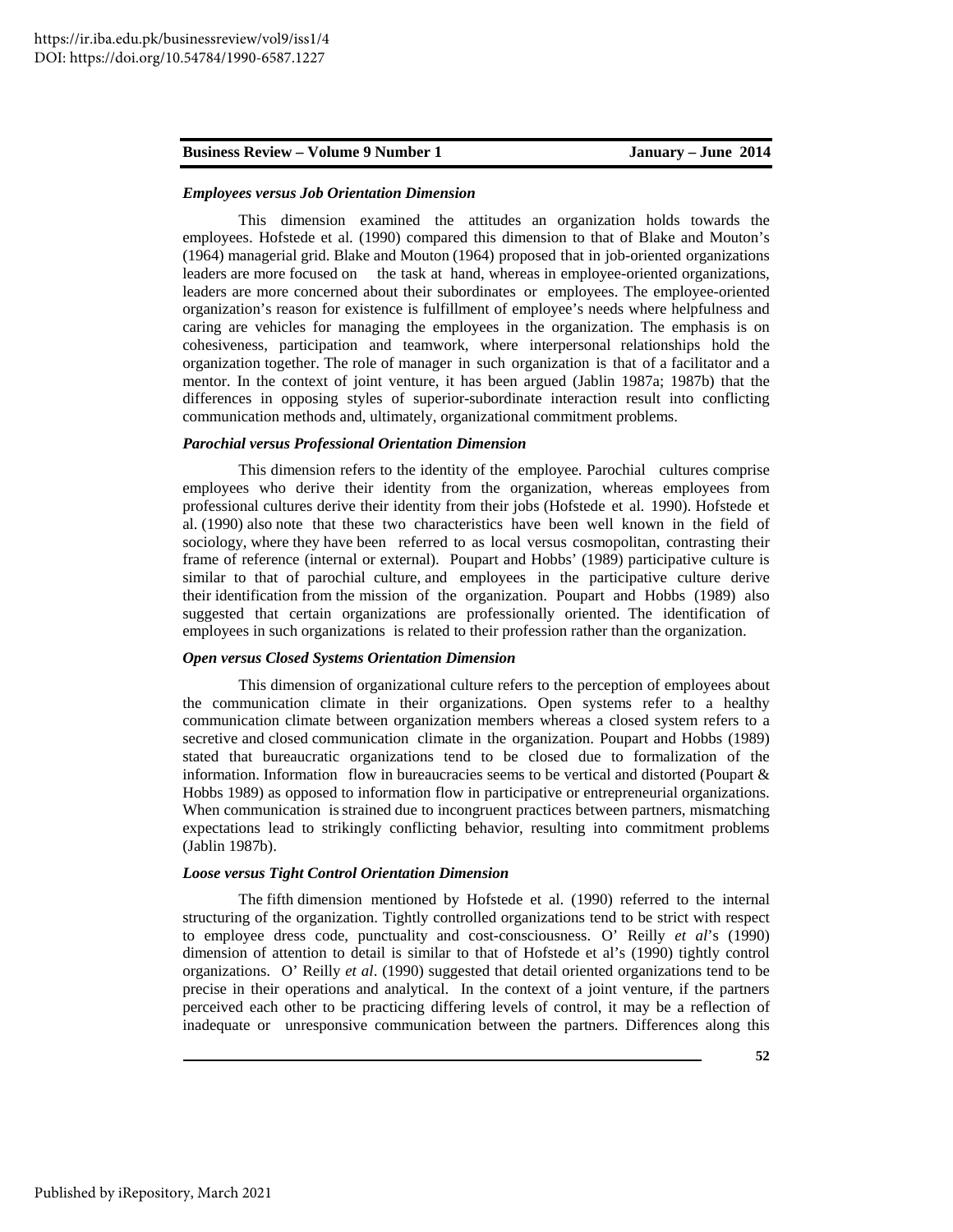#### *Employees versus Job Orientation Dimension*

 This dimension examined the attitudes an organization holds towards the employees. Hofstede et al. (1990) compared this dimension to that of Blake and Mouton's (1964) managerial grid. Blake and Mouton (1964) proposed that in job-oriented organizations leaders are more focused on the task at hand, whereas in employee-oriented organizations, leaders are more concerned about their subordinates or employees. The employee-oriented organization's reason for existence is fulfillment of employee's needs where helpfulness and caring are vehicles for managing the employees in the organization. The emphasis is on cohesiveness, participation and teamwork, where interpersonal relationships hold the organization together. The role of manager in such organization is that of a facilitator and a mentor. In the context of joint venture, it has been argued (Jablin 1987a; 1987b) that the differences in opposing styles of superior-subordinate interaction result into conflicting communication methods and, ultimately, organizational commitment problems.

# *Parochial versus Professional Orientation Dimension*

 This dimension refers to the identity of the employee. Parochial cultures comprise employees who derive their identity from the organization, whereas employees from professional cultures derive their identity from their jobs (Hofstede et al. 1990). Hofstede et al. (1990) also note that these two characteristics have been well known in the field of sociology, where they have been referred to as local versus cosmopolitan, contrasting their frame of reference (internal or external). Poupart and Hobbs' (1989) participative culture is similar to that of parochial culture, and employees in the participative culture derive their identification from the mission of the organization. Poupart and Hobbs (1989) also suggested that certain organizations are professionally oriented. The identification of employees in such organizations is related to their profession rather than the organization.

# *Open versus Closed Systems Orientation Dimension*

This dimension of organizational culture refers to the perception of employees about the communication climate in their organizations. Open systems refer to a healthy communication climate between organization members whereas a closed system refers to a secretive and closed communication climate in the organization. Poupart and Hobbs (1989) stated that bureaucratic organizations tend to be closed due to formalization of the information. Information flow in bureaucracies seems to be vertical and distorted (Poupart & Hobbs 1989) as opposed to information flow in participative or entrepreneurial organizations. When communication is strained due to incongruent practices between partners, mismatching expectations lead to strikingly conflicting behavior, resulting into commitment problems (Jablin 1987b).

#### *Loose versus Tight Control Orientation Dimension*

The fifth dimension mentioned by Hofstede et al. (1990) referred to the internal structuring of the organization. Tightly controlled organizations tend to be strict with respect to employee dress code, punctuality and cost-consciousness. O' Reilly *et al*'s (1990) dimension of attention to detail is similar to that of Hofstede et al's (1990) tightly control organizations. O' Reilly *et al*. (1990) suggested that detail oriented organizations tend to be precise in their operations and analytical. In the context of a joint venture, if the partners perceived each other to be practicing differing levels of control, it may be a reflection of inadequate or unresponsive communication between the partners. Differences along this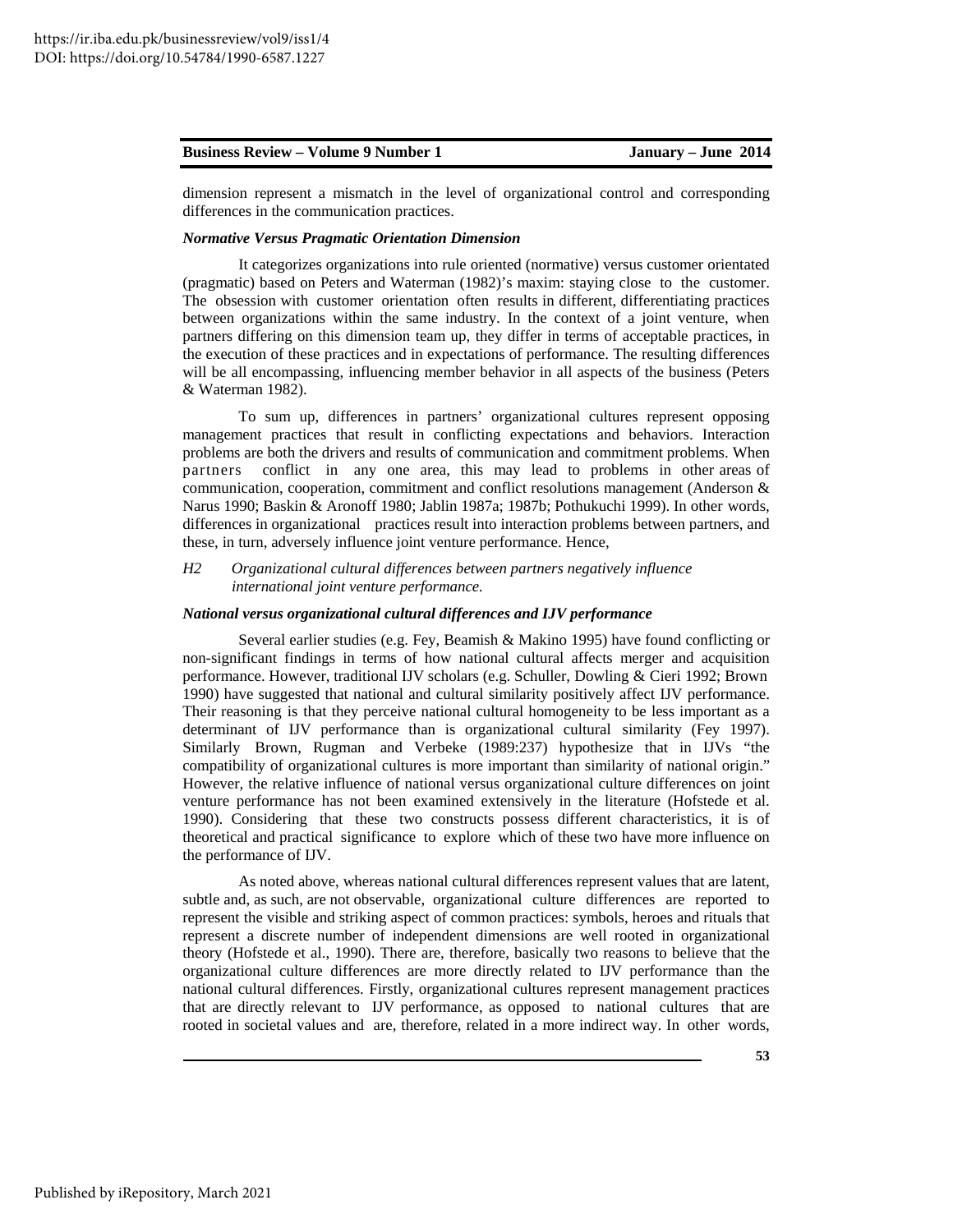dimension represent a mismatch in the level of organizational control and corresponding differences in the communication practices.

#### *Normative Versus Pragmatic Orientation Dimension*

It categorizes organizations into rule oriented (normative) versus customer orientated (pragmatic) based on Peters and Waterman (1982)'s maxim: staying close to the customer. The obsession with customer orientation often results in different, differentiating practices between organizations within the same industry. In the context of a joint venture, when partners differing on this dimension team up, they differ in terms of acceptable practices, in the execution of these practices and in expectations of performance. The resulting differences will be all encompassing, influencing member behavior in all aspects of the business (Peters & Waterman 1982).

 To sum up, differences in partners' organizational cultures represent opposing management practices that result in conflicting expectations and behaviors. Interaction problems are both the drivers and results of communication and commitment problems. When partners conflict in any one area, this may lead to problems in other areas of communication, cooperation, commitment and conflict resolutions management (Anderson & Narus 1990; Baskin & Aronoff 1980; Jablin 1987a; 1987b; Pothukuchi 1999). In other words, differences in organizational practices result into interaction problems between partners, and these, in turn, adversely influence joint venture performance. Hence,

*H2 Organizational cultural differences between partners negatively influence international joint venture performance.* 

### *National versus organizational cultural differences and IJV performance*

 Several earlier studies (e.g. Fey, Beamish & Makino 1995) have found conflicting or non-significant findings in terms of how national cultural affects merger and acquisition performance. However, traditional IJV scholars (e.g. Schuller, Dowling & Cieri 1992; Brown 1990) have suggested that national and cultural similarity positively affect IJV performance. Their reasoning is that they perceive national cultural homogeneity to be less important as a determinant of IJV performance than is organizational cultural similarity (Fey 1997). Similarly Brown, Rugman and Verbeke (1989:237) hypothesize that in IJVs "the compatibility of organizational cultures is more important than similarity of national origin." However, the relative influence of national versus organizational culture differences on joint venture performance has not been examined extensively in the literature (Hofstede et al. 1990). Considering that these two constructs possess different characteristics, it is of theoretical and practical significance to explore which of these two have more influence on the performance of IJV.

 As noted above, whereas national cultural differences represent values that are latent, subtle and, as such, are not observable, organizational culture differences are reported to represent the visible and striking aspect of common practices: symbols, heroes and rituals that represent a discrete number of independent dimensions are well rooted in organizational theory (Hofstede et al., 1990). There are, therefore, basically two reasons to believe that the organizational culture differences are more directly related to IJV performance than the national cultural differences. Firstly, organizational cultures represent management practices that are directly relevant to IJV performance, as opposed to national cultures that are rooted in societal values and are, therefore, related in a more indirect way. In other words,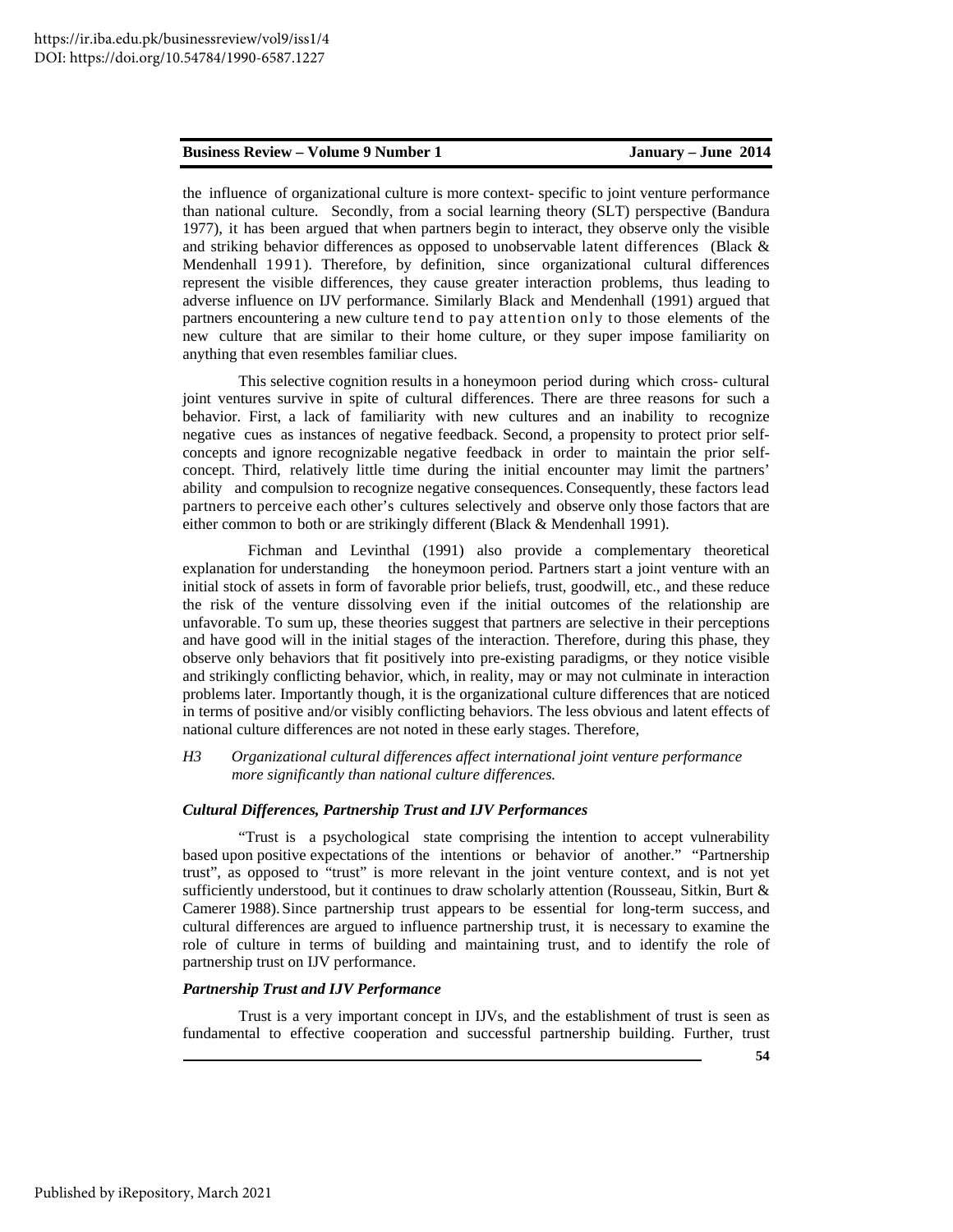the influence of organizational culture is more context- specific to joint venture performance than national culture. Secondly, from a social learning theory (SLT) perspective (Bandura 1977), it has been argued that when partners begin to interact, they observe only the visible and striking behavior differences as opposed to unobservable latent differences (Black & Mendenhall 1991). Therefore, by definition, since organizational cultural differences represent the visible differences, they cause greater interaction problems, thus leading to adverse influence on IJV performance. Similarly Black and Mendenhall (1991) argued that partners encountering a new culture tend to pay attention only to those elements of the new culture that are similar to their home culture, or they super impose familiarity on anything that even resembles familiar clues.

 This selective cognition results in a honeymoon period during which cross- cultural joint ventures survive in spite of cultural differences. There are three reasons for such a behavior. First, a lack of familiarity with new cultures and an inability to recognize negative cues as instances of negative feedback. Second, a propensity to protect prior selfconcepts and ignore recognizable negative feedback in order to maintain the prior selfconcept. Third, relatively little time during the initial encounter may limit the partners' ability and compulsion to recognize negative consequences. Consequently, these factors lead partners to perceive each other's cultures selectively and observe only those factors that are either common to both or are strikingly different (Black & Mendenhall 1991).

 Fichman and Levinthal (1991) also provide a complementary theoretical explanation for understanding the honeymoon period. Partners start a joint venture with an initial stock of assets in form of favorable prior beliefs, trust, goodwill, etc., and these reduce the risk of the venture dissolving even if the initial outcomes of the relationship are unfavorable. To sum up, these theories suggest that partners are selective in their perceptions and have good will in the initial stages of the interaction. Therefore, during this phase, they observe only behaviors that fit positively into pre-existing paradigms, or they notice visible and strikingly conflicting behavior, which, in reality, may or may not culminate in interaction problems later. Importantly though, it is the organizational culture differences that are noticed in terms of positive and/or visibly conflicting behaviors. The less obvious and latent effects of national culture differences are not noted in these early stages. Therefore,

# *H3 Organizational cultural differences affect international joint venture performance more significantly than national culture differences.*

# *Cultural Differences, Partnership Trust and IJV Performances*

 "Trust is a psychological state comprising the intention to accept vulnerability based upon positive expectations of the intentions or behavior of another." "Partnership trust", as opposed to "trust" is more relevant in the joint venture context, and is not yet sufficiently understood, but it continues to draw scholarly attention (Rousseau, Sitkin, Burt & Camerer 1988). Since partnership trust appears to be essential for long-term success, and cultural differences are argued to influence partnership trust, it is necessary to examine the role of culture in terms of building and maintaining trust, and to identify the role of partnership trust on IJV performance.

## *Partnership Trust and IJV Performance*

 Trust is a very important concept in IJVs, and the establishment of trust is seen as fundamental to effective cooperation and successful partnership building. Further, trust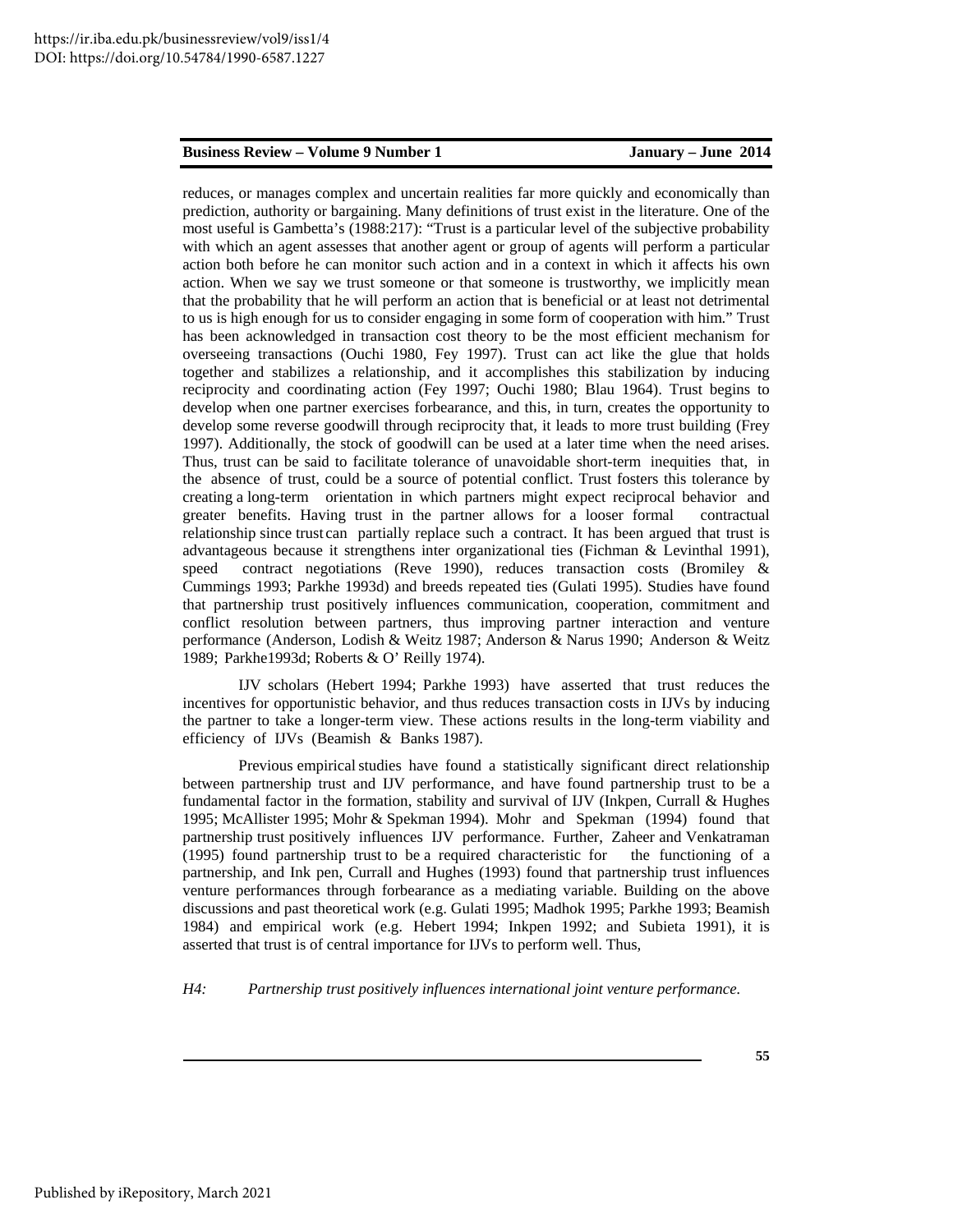reduces, or manages complex and uncertain realities far more quickly and economically than prediction, authority or bargaining. Many definitions of trust exist in the literature. One of the most useful is Gambetta's (1988:217): "Trust is a particular level of the subjective probability with which an agent assesses that another agent or group of agents will perform a particular action both before he can monitor such action and in a context in which it affects his own action. When we say we trust someone or that someone is trustworthy, we implicitly mean that the probability that he will perform an action that is beneficial or at least not detrimental to us is high enough for us to consider engaging in some form of cooperation with him." Trust has been acknowledged in transaction cost theory to be the most efficient mechanism for overseeing transactions (Ouchi 1980, Fey 1997). Trust can act like the glue that holds together and stabilizes a relationship, and it accomplishes this stabilization by inducing reciprocity and coordinating action (Fey 1997; Ouchi 1980; Blau 1964). Trust begins to develop when one partner exercises forbearance, and this, in turn, creates the opportunity to develop some reverse goodwill through reciprocity that, it leads to more trust building (Frey 1997). Additionally, the stock of goodwill can be used at a later time when the need arises. Thus, trust can be said to facilitate tolerance of unavoidable short-term inequities that, in the absence of trust, could be a source of potential conflict. Trust fosters this tolerance by creating a long-term orientation in which partners might expect reciprocal behavior and greater benefits. Having trust in the partner allows for a looser formal contractual relationship since trust can partially replace such a contract. It has been argued that trust is advantageous because it strengthens inter organizational ties (Fichman & Levinthal 1991), speed contract negotiations (Reve 1990), reduces transaction costs (Bromiley & Cummings 1993; Parkhe 1993d) and breeds repeated ties (Gulati 1995). Studies have found that partnership trust positively influences communication, cooperation, commitment and conflict resolution between partners, thus improving partner interaction and venture performance (Anderson, Lodish & Weitz 1987; Anderson & Narus 1990; Anderson & Weitz 1989; Parkhe1993d; Roberts & O' Reilly 1974).

IJV scholars (Hebert 1994; Parkhe 1993) have asserted that trust reduces the incentives for opportunistic behavior, and thus reduces transaction costs in IJVs by inducing the partner to take a longer-term view. These actions results in the long-term viability and efficiency of IJVs (Beamish & Banks 1987).

 Previous empirical studies have found a statistically significant direct relationship between partnership trust and IJV performance, and have found partnership trust to be a fundamental factor in the formation, stability and survival of IJV (Inkpen, Currall & Hughes 1995; McAllister 1995; Mohr & Spekman 1994). Mohr and Spekman (1994) found that partnership trust positively influences IJV performance. Further, Zaheer and Venkatraman (1995) found partnership trust to be a required characteristic for the functioning of a partnership, and Ink pen, Currall and Hughes (1993) found that partnership trust influences venture performances through forbearance as a mediating variable. Building on the above discussions and past theoretical work (e.g. Gulati 1995; Madhok 1995; Parkhe 1993; Beamish 1984) and empirical work (e.g. Hebert 1994; Inkpen 1992; and Subieta 1991), it is asserted that trust is of central importance for IJVs to perform well. Thus,

*H4: Partnership trust positively influences international joint venture performance.*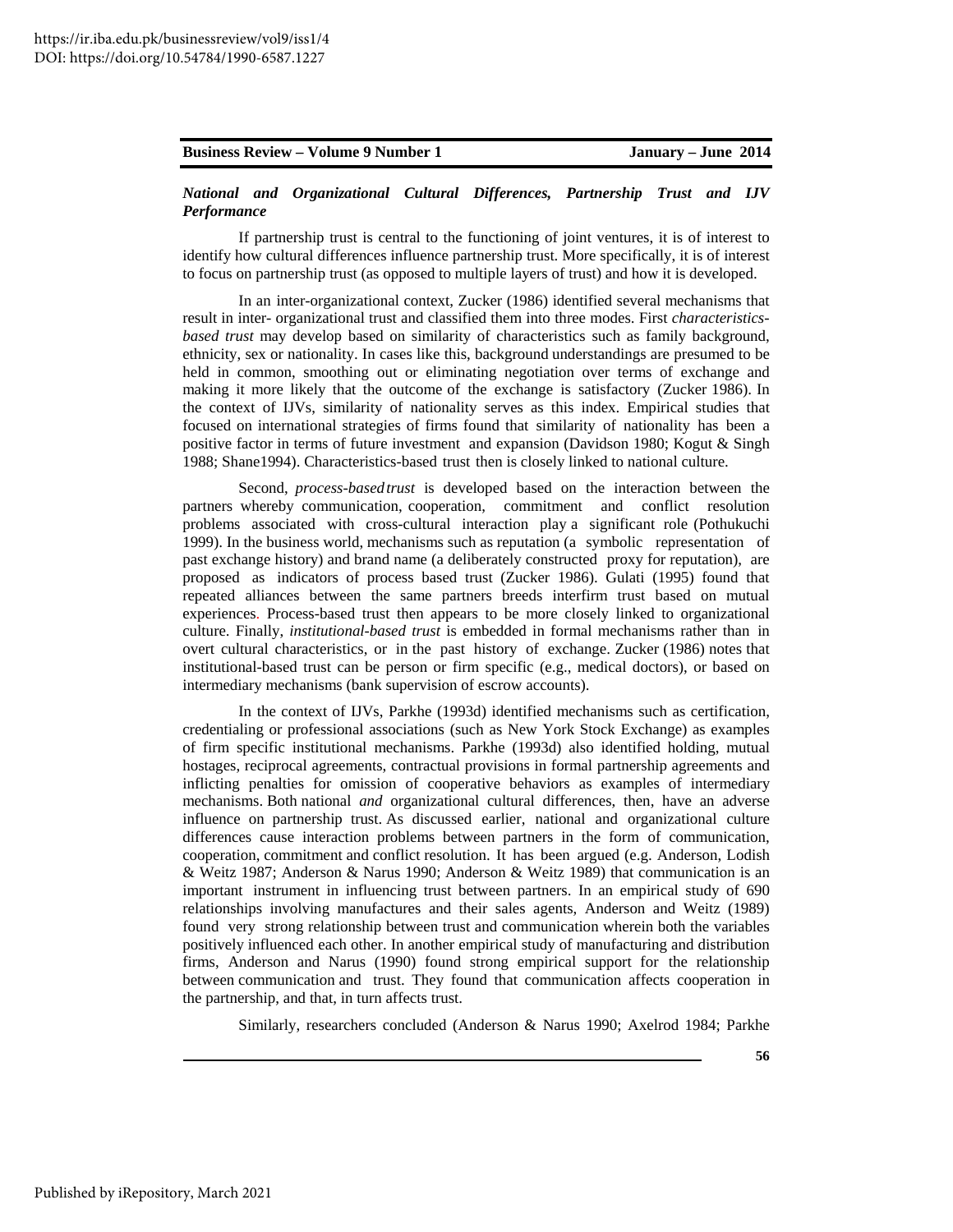# *National and Organizational Cultural Differences, Partnership Trust and IJV Performance*

 If partnership trust is central to the functioning of joint ventures, it is of interest to identify how cultural differences influence partnership trust. More specifically, it is of interest to focus on partnership trust (as opposed to multiple layers of trust) and how it is developed.

 In an inter-organizational context, Zucker (1986) identified several mechanisms that result in inter- organizational trust and classified them into three modes. First *characteristicsbased trust* may develop based on similarity of characteristics such as family background, ethnicity, sex or nationality. In cases like this, background understandings are presumed to be held in common, smoothing out or eliminating negotiation over terms of exchange and making it more likely that the outcome of the exchange is satisfactory (Zucker 1986). In the context of IJVs, similarity of nationality serves as this index. Empirical studies that focused on international strategies of firms found that similarity of nationality has been a positive factor in terms of future investment and expansion (Davidson 1980; Kogut & Singh 1988; Shane1994). Characteristics-based trust then is closely linked to national culture.

 Second, *process-based trust* is developed based on the interaction between the partners whereby communication, cooperation, commitment and conflict resolution problems associated with cross-cultural interaction play a significant role (Pothukuchi 1999). In the business world, mechanisms such as reputation (a symbolic representation of past exchange history) and brand name (a deliberately constructed proxy for reputation), are proposed as indicators of process based trust (Zucker 1986). Gulati (1995) found that repeated alliances between the same partners breeds interfirm trust based on mutual experiences. Process-based trust then appears to be more closely linked to organizational culture. Finally, *institutional-based trust* is embedded in formal mechanisms rather than in overt cultural characteristics, or in the past history of exchange. Zucker (1986) notes that institutional-based trust can be person or firm specific (e.g., medical doctors), or based on intermediary mechanisms (bank supervision of escrow accounts).

 In the context of IJVs, Parkhe (1993d) identified mechanisms such as certification, credentialing or professional associations (such as New York Stock Exchange) as examples of firm specific institutional mechanisms. Parkhe (1993d) also identified holding, mutual hostages, reciprocal agreements, contractual provisions in formal partnership agreements and inflicting penalties for omission of cooperative behaviors as examples of intermediary mechanisms. Both national *and* organizational cultural differences, then, have an adverse influence on partnership trust. As discussed earlier, national and organizational culture differences cause interaction problems between partners in the form of communication, cooperation, commitment and conflict resolution. It has been argued (e.g. Anderson, Lodish & Weitz 1987; Anderson & Narus 1990; Anderson & Weitz 1989) that communication is an important instrument in influencing trust between partners. In an empirical study of 690 relationships involving manufactures and their sales agents, Anderson and Weitz (1989) found very strong relationship between trust and communication wherein both the variables positively influenced each other. In another empirical study of manufacturing and distribution firms, Anderson and Narus (1990) found strong empirical support for the relationship between communication and trust. They found that communication affects cooperation in the partnership, and that, in turn affects trust.

Similarly, researchers concluded (Anderson & Narus 1990; Axelrod 1984; Parkhe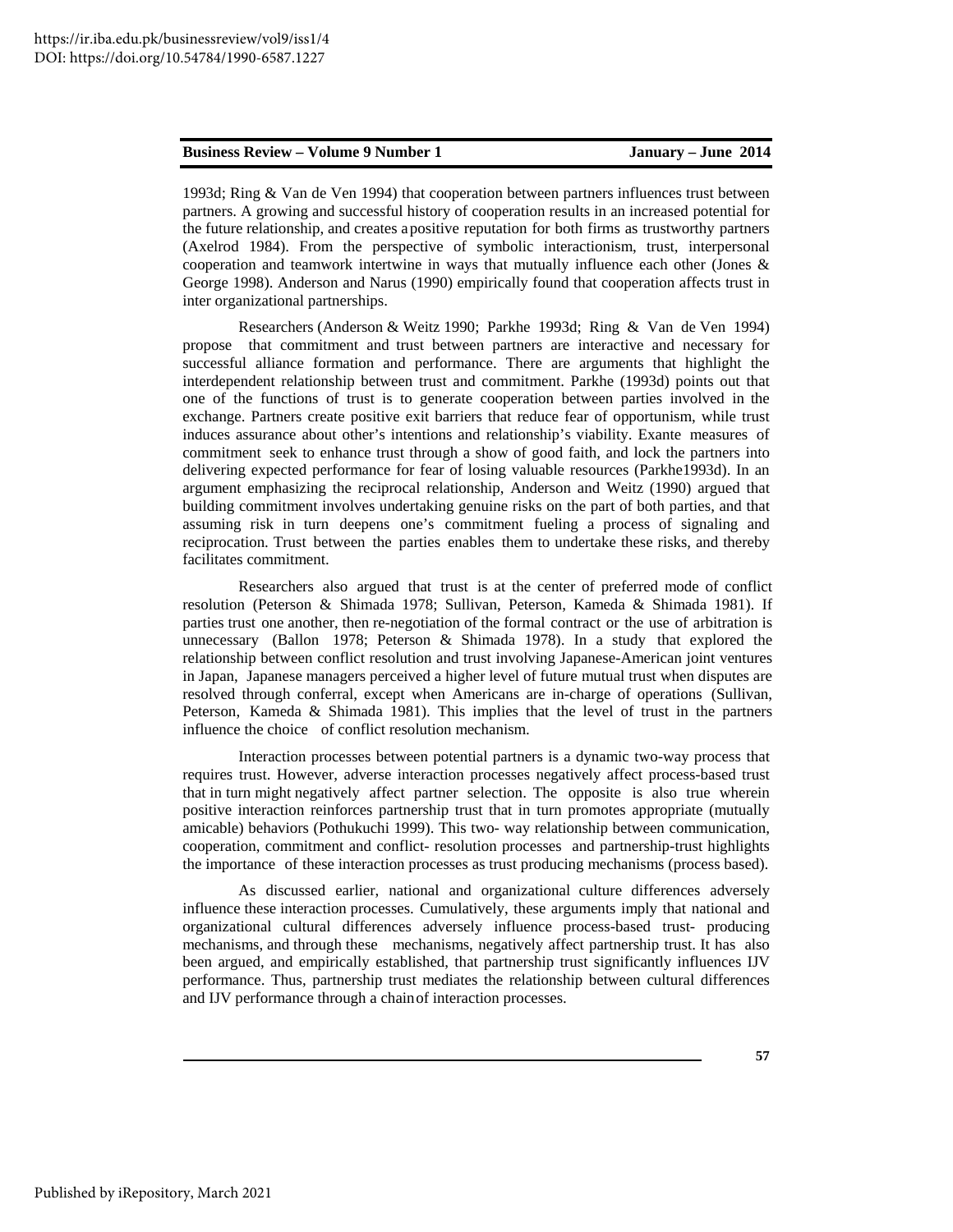1993d; Ring & Van de Ven 1994) that cooperation between partners influences trust between partners. A growing and successful history of cooperation results in an increased potential for the future relationship, and creates a positive reputation for both firms as trustworthy partners (Axelrod 1984). From the perspective of symbolic interactionism, trust, interpersonal cooperation and teamwork intertwine in ways that mutually influence each other (Jones & George 1998). Anderson and Narus (1990) empirically found that cooperation affects trust in inter organizational partnerships.

 Researchers (Anderson & Weitz 1990; Parkhe 1993d; Ring & Van de Ven 1994) propose that commitment and trust between partners are interactive and necessary for successful alliance formation and performance. There are arguments that highlight the interdependent relationship between trust and commitment. Parkhe (1993d) points out that one of the functions of trust is to generate cooperation between parties involved in the exchange. Partners create positive exit barriers that reduce fear of opportunism, while trust induces assurance about other's intentions and relationship's viability. Exante measures of commitment seek to enhance trust through a show of good faith, and lock the partners into delivering expected performance for fear of losing valuable resources (Parkhe1993d). In an argument emphasizing the reciprocal relationship, Anderson and Weitz (1990) argued that building commitment involves undertaking genuine risks on the part of both parties, and that assuming risk in turn deepens one's commitment fueling a process of signaling and reciprocation. Trust between the parties enables them to undertake these risks, and thereby facilitates commitment.

Researchers also argued that trust is at the center of preferred mode of conflict resolution (Peterson & Shimada 1978; Sullivan, Peterson, Kameda & Shimada 1981). If parties trust one another, then re-negotiation of the formal contract or the use of arbitration is unnecessary (Ballon 1978; Peterson & Shimada 1978). In a study that explored the relationship between conflict resolution and trust involving Japanese-American joint ventures in Japan, Japanese managers perceived a higher level of future mutual trust when disputes are resolved through conferral, except when Americans are in-charge of operations (Sullivan, Peterson, Kameda & Shimada 1981). This implies that the level of trust in the partners influence the choice of conflict resolution mechanism.

 Interaction processes between potential partners is a dynamic two-way process that requires trust. However, adverse interaction processes negatively affect process-based trust that in turn might negatively affect partner selection. The opposite is also true wherein positive interaction reinforces partnership trust that in turn promotes appropriate (mutually amicable) behaviors (Pothukuchi 1999). This two- way relationship between communication, cooperation, commitment and conflict- resolution processes and partnership-trust highlights the importance of these interaction processes as trust producing mechanisms (process based).

 As discussed earlier, national and organizational culture differences adversely influence these interaction processes. Cumulatively, these arguments imply that national and organizational cultural differences adversely influence process-based trust- producing mechanisms, and through these mechanisms, negatively affect partnership trust. It has also been argued, and empirically established, that partnership trust significantly influences IJV performance. Thus, partnership trust mediates the relationship between cultural differences and IJV performance through a chain of interaction processes.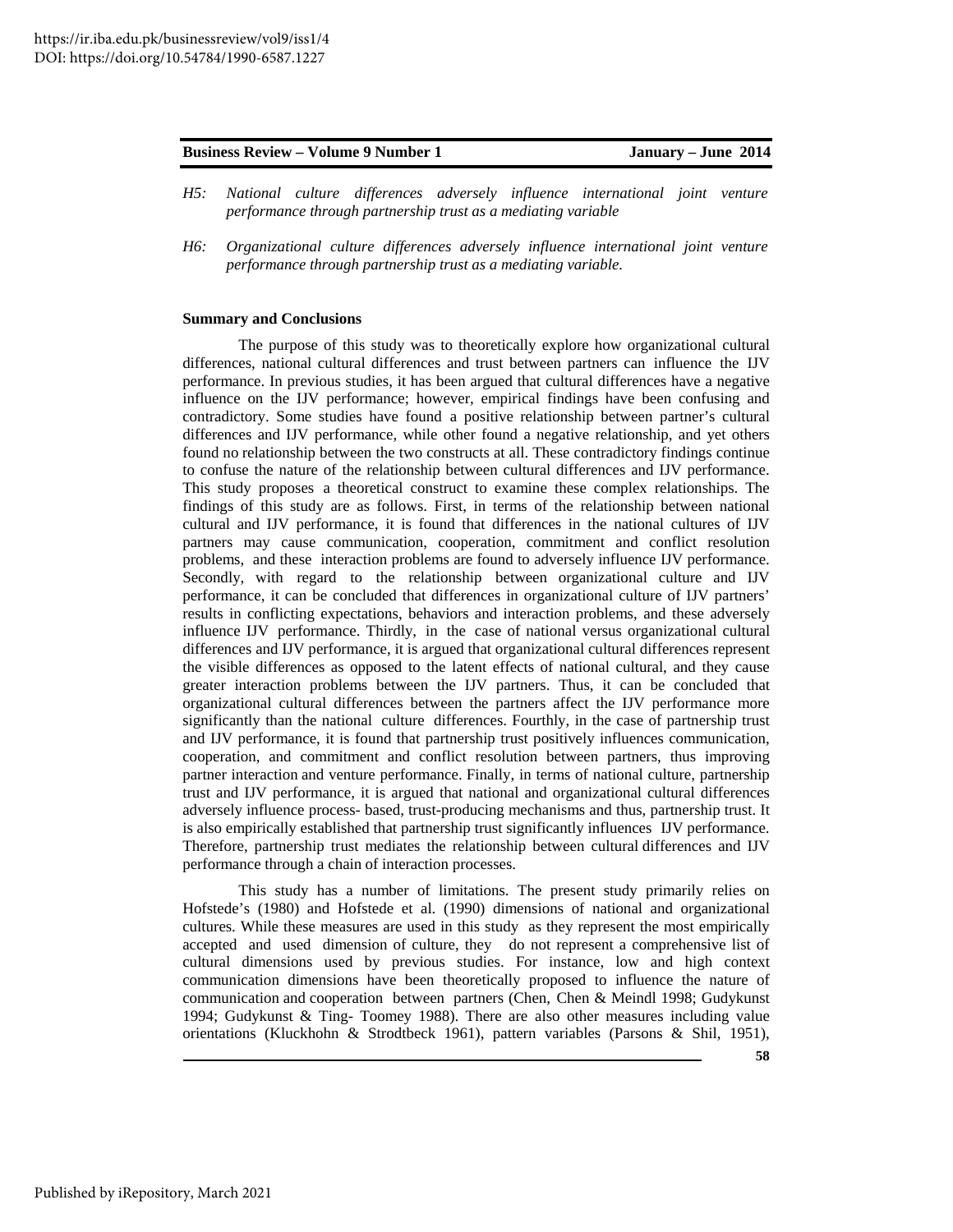- *H5: National culture differences adversely influence international joint venture performance through partnership trust as a mediating variable*
- *H6: Organizational culture differences adversely influence international joint venture performance through partnership trust as a mediating variable.*

#### **Summary and Conclusions**

The purpose of this study was to theoretically explore how organizational cultural differences, national cultural differences and trust between partners can influence the IJV performance. In previous studies, it has been argued that cultural differences have a negative influence on the IJV performance; however, empirical findings have been confusing and contradictory. Some studies have found a positive relationship between partner's cultural differences and IJV performance, while other found a negative relationship, and yet others found no relationship between the two constructs at all. These contradictory findings continue to confuse the nature of the relationship between cultural differences and IJV performance. This study proposes a theoretical construct to examine these complex relationships. The findings of this study are as follows. First, in terms of the relationship between national cultural and IJV performance, it is found that differences in the national cultures of IJV partners may cause communication, cooperation, commitment and conflict resolution problems, and these interaction problems are found to adversely influence IJV performance. Secondly, with regard to the relationship between organizational culture and IJV performance, it can be concluded that differences in organizational culture of IJV partners' results in conflicting expectations, behaviors and interaction problems, and these adversely influence IJV performance. Thirdly, in the case of national versus organizational cultural differences and IJV performance, it is argued that organizational cultural differences represent the visible differences as opposed to the latent effects of national cultural, and they cause greater interaction problems between the IJV partners. Thus, it can be concluded that organizational cultural differences between the partners affect the IJV performance more significantly than the national culture differences. Fourthly, in the case of partnership trust and IJV performance, it is found that partnership trust positively influences communication, cooperation, and commitment and conflict resolution between partners, thus improving partner interaction and venture performance. Finally, in terms of national culture, partnership trust and IJV performance, it is argued that national and organizational cultural differences adversely influence process- based, trust-producing mechanisms and thus, partnership trust. It is also empirically established that partnership trust significantly influences IJV performance. Therefore, partnership trust mediates the relationship between cultural differences and IJV performance through a chain of interaction processes.

 This study has a number of limitations. The present study primarily relies on Hofstede's (1980) and Hofstede et al. (1990) dimensions of national and organizational cultures. While these measures are used in this study as they represent the most empirically accepted and used dimension of culture, they do not represent a comprehensive list of cultural dimensions used by previous studies. For instance, low and high context communication dimensions have been theoretically proposed to influence the nature of communication and cooperation between partners (Chen, Chen & Meindl 1998; Gudykunst 1994; Gudykunst & Ting- Toomey 1988). There are also other measures including value orientations (Kluckhohn & Strodtbeck 1961), pattern variables (Parsons & Shil, 1951),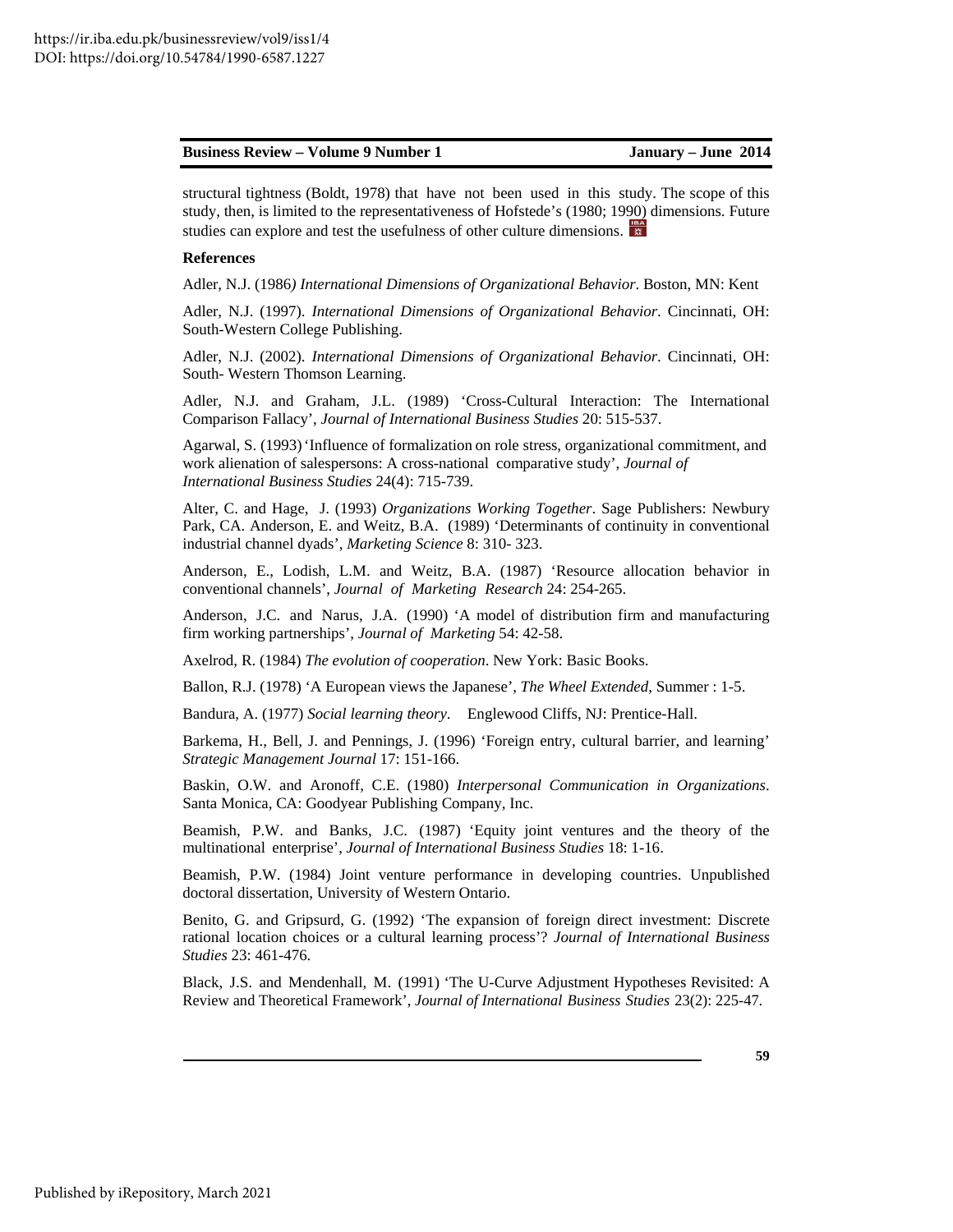structural tightness (Boldt, 1978) that have not been used in this study. The scope of this study, then, is limited to the representativeness of Hofstede's (1980; 1990) dimensions. Future studies can explore and test the usefulness of other culture dimensions.

#### **References**

Adler, N.J. (1986*) International Dimensions of Organizational Behavior*. Boston, MN: Kent

Adler, N.J. (1997). *International Dimensions of Organizational Behavior*. Cincinnati, OH: South-Western College Publishing.

 Adler, N.J. (2002). *International Dimensions of Organizational Behavior*. Cincinnati, OH: South- Western Thomson Learning.

Adler, N.J. and Graham, J.L. (1989) 'Cross-Cultural Interaction: The International Comparison Fallacy', *Journal of International Business Studies* 20: 515-537.

 Agarwal, S. (1993) 'Influence of formalization on role stress, organizational commitment, and work alienation of salespersons: A cross-national comparative study', *Journal of International Business Studies* 24(4): 715-739.

Alter, C. and Hage, J. (1993) *Organizations Working Together*. Sage Publishers: Newbury Park, CA. Anderson, E. and Weitz, B.A. (1989) 'Determinants of continuity in conventional industrial channel dyads', *Marketing Science* 8: 310- 323.

 Anderson, E., Lodish, L.M. and Weitz, B.A. (1987) 'Resource allocation behavior in conventional channels', *Journal of Marketing Research* 24: 254-265.

Anderson, J.C. and Narus, J.A. (1990) 'A model of distribution firm and manufacturing firm working partnerships', *Journal of Marketing* 54: 42-58.

Axelrod, R. (1984) *The evolution of cooperation*. New York: Basic Books.

Ballon, R.J. (1978) 'A European views the Japanese', *The Wheel Extended*, Summer : 1-5.

Bandura, A. (1977) *Social learning theory*. Englewood Cliffs, NJ: Prentice-Hall.

 Barkema, H., Bell, J. and Pennings, J. (1996) 'Foreign entry, cultural barrier, and learning' *Strategic Management Journal* 17: 151-166.

 Baskin, O.W. and Aronoff, C.E. (1980) *Interpersonal Communication in Organizations*. Santa Monica, CA: Goodyear Publishing Company, Inc.

Beamish, P.W. and Banks, J.C. (1987) 'Equity joint ventures and the theory of the multinational enterprise', *Journal of International Business Studies* 18: 1-16.

 Beamish, P.W. (1984) Joint venture performance in developing countries. Unpublished doctoral dissertation, University of Western Ontario.

Benito, G. and Gripsurd, G. (1992) 'The expansion of foreign direct investment: Discrete rational location choices or a cultural learning process'? *Journal of International Business Studies* 23: 461-476.

Black, J.S. and Mendenhall, M. (1991) 'The U-Curve Adjustment Hypotheses Revisited: A Review and Theoretical Framework', *Journal of International Business Studies* 23(2): 225-47.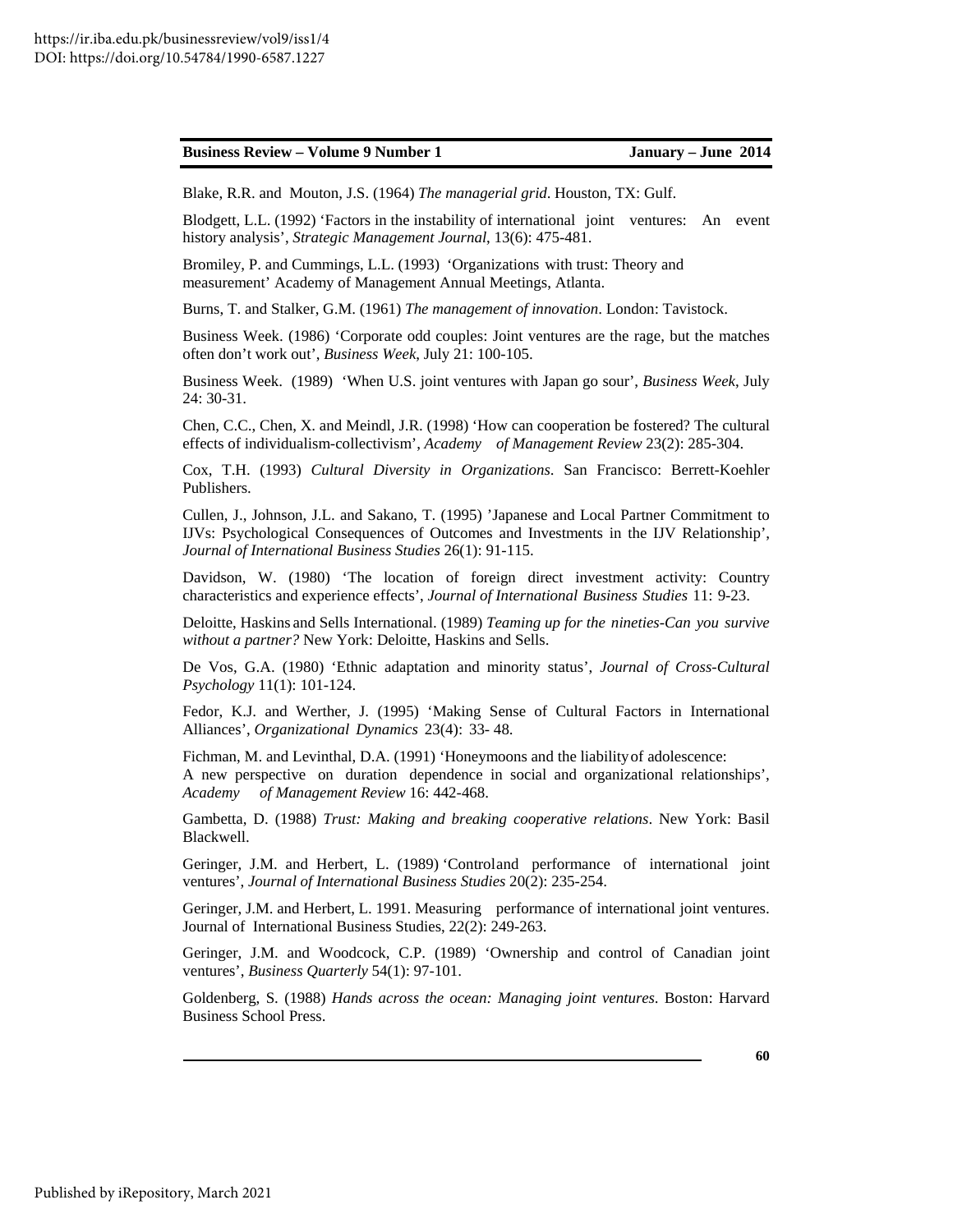Blake, R.R. and Mouton, J.S. (1964) *The managerial grid*. Houston, TX: Gulf.

 Blodgett, L.L. (1992) 'Factors in the instability of international joint ventures: An event history analysis', *Strategic Management Journal*, 13(6): 475-481.

 Bromiley, P. and Cummings, L.L. (1993) 'Organizations with trust: Theory and measurement' Academy of Management Annual Meetings, Atlanta.

Burns, T. and Stalker, G.M. (1961) *The management of innovation*. London: Tavistock.

Business Week. (1986) 'Corporate odd couples: Joint ventures are the rage, but the matches often don't work out', *Business Week*, July 21: 100-105.

Business Week. (1989) 'When U.S. joint ventures with Japan go sour', *Business Week*, July 24: 30-31.

Chen, C.C., Chen, X. and Meindl, J.R. (1998) 'How can cooperation be fostered? The cultural effects of individualism-collectivism', *Academy of Management Review* 23(2): 285-304.

 Cox, T.H. (1993) *Cultural Diversity in Organizations*. San Francisco: Berrett-Koehler Publishers.

 Cullen, J., Johnson, J.L. and Sakano, T. (1995) 'Japanese and Local Partner Commitment to IJVs: Psychological Consequences of Outcomes and Investments in the IJV Relationship', *Journal of International Business Studies* 26(1): 91-115.

 Davidson, W. (1980) 'The location of foreign direct investment activity: Country characteristics and experience effects', *Journal of International Business Studies* 11: 9-23.

 Deloitte, Haskins and Sells International. (1989) *Teaming up for the nineties-Can you survive without a partner?* New York: Deloitte, Haskins and Sells.

 De Vos, G.A. (1980) 'Ethnic adaptation and minority status', *Journal of Cross-Cultural Psychology* 11(1): 101-124.

Fedor, K.J. and Werther, J. (1995) 'Making Sense of Cultural Factors in International Alliances', *Organizational Dynamics* 23(4): 33- 48.

 Fichman, M. and Levinthal, D.A. (1991) 'Honeymoons and the liability of adolescence: A new perspective on duration dependence in social and organizational relationships', *Academy of Management Review* 16: 442-468.

Gambetta, D. (1988) *Trust: Making and breaking cooperative relations*. New York: Basil Blackwell.

Geringer, J.M. and Herbert, L. (1989) 'Control and performance of international joint ventures', *Journal of International Business Studies* 20(2): 235-254.

Geringer, J.M. and Herbert, L. 1991. Measuring performance of international joint ventures. Journal of International Business Studies, 22(2): 249-263.

Geringer, J.M. and Woodcock, C.P. (1989) 'Ownership and control of Canadian joint ventures', *Business Quarterly* 54(1): 97-101.

 Goldenberg, S. (1988) *Hands across the ocean: Managing joint ventures*. Boston: Harvard Business School Press.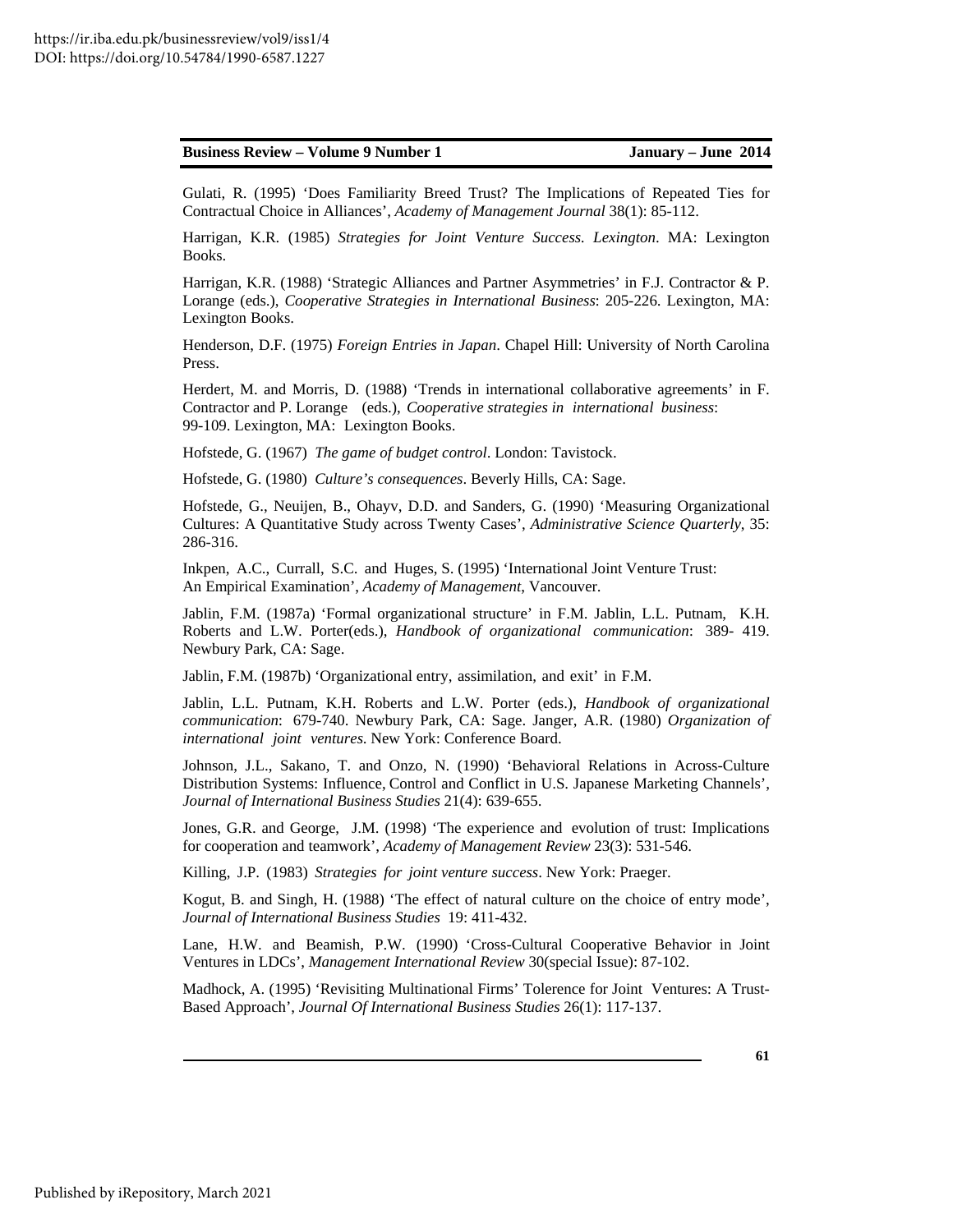Gulati, R. (1995) 'Does Familiarity Breed Trust? The Implications of Repeated Ties for Contractual Choice in Alliances', *Academy of Management Journal* 38(1): 85-112.

Harrigan, K.R. (1985) *Strategies for Joint Venture Success. Lexington*. MA: Lexington Books.

 Harrigan, K.R. (1988) 'Strategic Alliances and Partner Asymmetries' in F.J. Contractor & P. Lorange (eds.), *Cooperative Strategies in International Business*: 205-226. Lexington, MA: Lexington Books.

Henderson, D.F. (1975) *Foreign Entries in Japan*. Chapel Hill: University of North Carolina Press.

Herdert, M. and Morris, D. (1988) 'Trends in international collaborative agreements' in F. Contractor and P. Lorange (eds.), *Cooperative strategies in international business*: 99-109. Lexington, MA: Lexington Books.

Hofstede, G. (1967) *The game of budget control*. London: Tavistock.

Hofstede, G. (1980) *Culture's consequences*. Beverly Hills, CA: Sage.

 Hofstede, G., Neuijen, B., Ohayv, D.D. and Sanders, G. (1990) 'Measuring Organizational Cultures: A Quantitative Study across Twenty Cases', *Administrative Science Quarterly*, 35: 286-316.

 Inkpen, A.C., Currall, S.C. and Huges, S. (1995) 'International Joint Venture Trust: An Empirical Examination', *Academy of Management*, Vancouver.

 Jablin, F.M. (1987a) 'Formal organizational structure' in F.M. Jablin, L.L. Putnam, K.H. Roberts and L.W. Porter(eds.), *Handbook of organizational communication*: 389- 419. Newbury Park, CA: Sage.

Jablin, F.M. (1987b) 'Organizational entry, assimilation, and exit' in F.M.

Jablin, L.L. Putnam, K.H. Roberts and L.W. Porter (eds.), *Handbook of organizational communication*: 679-740. Newbury Park, CA: Sage. Janger, A.R. (1980) *Organization of international joint ventures*. New York: Conference Board.

 Johnson, J.L., Sakano, T. and Onzo, N. (1990) 'Behavioral Relations in Across-Culture Distribution Systems: Influence, Control and Conflict in U.S. Japanese Marketing Channels', *Journal of International Business Studies* 21(4): 639-655.

Jones, G.R. and George, J.M. (1998) 'The experience and evolution of trust: Implications for cooperation and teamwork', *Academy of Management Review* 23(3): 531-546.

Killing, J.P. (1983) *Strategies for joint venture success*. New York: Praeger.

Kogut, B. and Singh, H. (1988) 'The effect of natural culture on the choice of entry mode', *Journal of International Business Studies* 19: 411-432.

Lane, H.W. and Beamish, P.W. (1990) 'Cross-Cultural Cooperative Behavior in Joint Ventures in LDCs', *Management International Review* 30(special Issue): 87-102.

 Madhock, A. (1995) 'Revisiting Multinational Firms' Tolerence for Joint Ventures: A Trust-Based Approach', *Journal Of International Business Studies* 26(1): 117-137.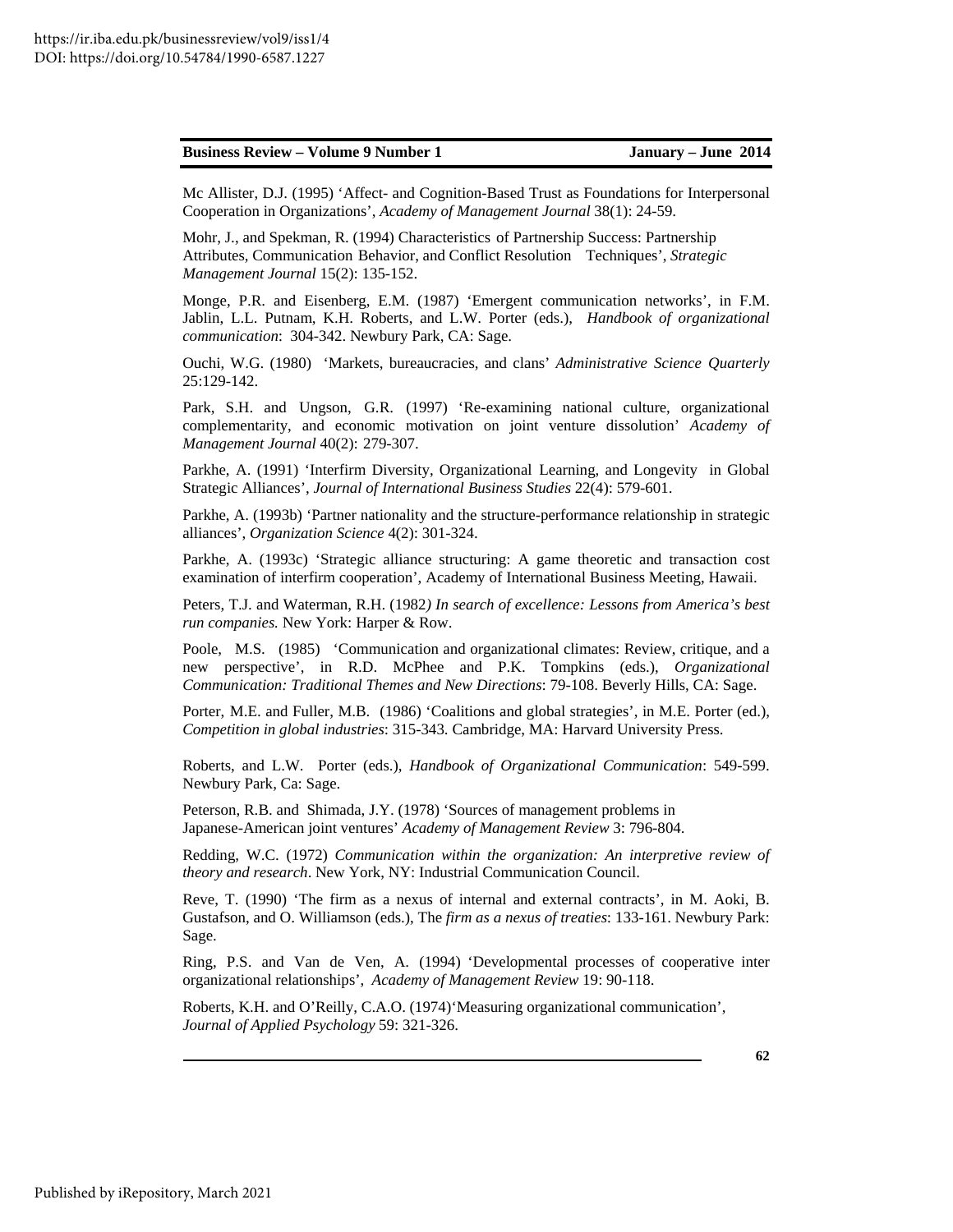Mc Allister, D.J. (1995) 'Affect- and Cognition-Based Trust as Foundations for Interpersonal Cooperation in Organizations', *Academy of Management Journal* 38(1): 24-59.

Mohr, J., and Spekman, R. (1994) Characteristics of Partnership Success: Partnership Attributes, Communication Behavior, and Conflict Resolution Techniques', *Strategic Management Journal* 15(2): 135-152.

 Monge, P.R. and Eisenberg, E.M. (1987) 'Emergent communication networks', in F.M. Jablin, L.L. Putnam, K.H. Roberts, and L.W. Porter (eds.), *Handbook of organizational communication*: 304-342. Newbury Park, CA: Sage.

 Ouchi, W.G. (1980) 'Markets, bureaucracies, and clans' *Administrative Science Quarterly*  25:129-142.

 Park, S.H. and Ungson, G.R. (1997) 'Re-examining national culture, organizational complementarity, and economic motivation on joint venture dissolution' *Academy of Management Journal* 40(2): 279-307.

 Parkhe, A. (1991) 'Interfirm Diversity, Organizational Learning, and Longevity in Global Strategic Alliances', *Journal of International Business Studies* 22(4): 579-601.

 Parkhe, A. (1993b) 'Partner nationality and the structure-performance relationship in strategic alliances', *Organization Science* 4(2): 301-324.

 Parkhe, A. (1993c) 'Strategic alliance structuring: A game theoretic and transaction cost examination of interfirm cooperation', Academy of International Business Meeting, Hawaii.

Peters, T.J. and Waterman, R.H. (1982*) In search of excellence: Lessons from America's best run companies.* New York: Harper & Row.

 Poole, M.S. (1985) 'Communication and organizational climates: Review, critique, and a new perspective', in R.D. McPhee and P.K. Tompkins (eds.), *Organizational Communication: Traditional Themes and New Directions*: 79-108. Beverly Hills, CA: Sage.

Porter, M.E. and Fuller, M.B. (1986) 'Coalitions and global strategies', in M.E. Porter (ed.), *Competition in global industries*: 315-343. Cambridge, MA: Harvard University Press.

Roberts, and L.W. Porter (eds.), *Handbook of Organizational Communication*: 549-599. Newbury Park, Ca: Sage.

 Peterson, R.B. and Shimada, J.Y. (1978) 'Sources of management problems in Japanese-American joint ventures' *Academy of Management Review* 3: 796-804.

 Redding, W.C. (1972) *Communication within the organization: An interpretive review of theory and research*. New York, NY: Industrial Communication Council.

Reve, T. (1990) 'The firm as a nexus of internal and external contracts', in M. Aoki, B. Gustafson, and O. Williamson (eds.), The *firm as a nexus of treaties*: 133-161. Newbury Park: Sage.

Ring, P.S. and Van de Ven, A. (1994) 'Developmental processes of cooperative inter organizational relationships', *Academy of Management Review* 19: 90-118.

 Roberts, K.H. and O'Reilly, C.A.O. (1974) 'Measuring organizational communication', *Journal of Applied Psychology* 59: 321-326.